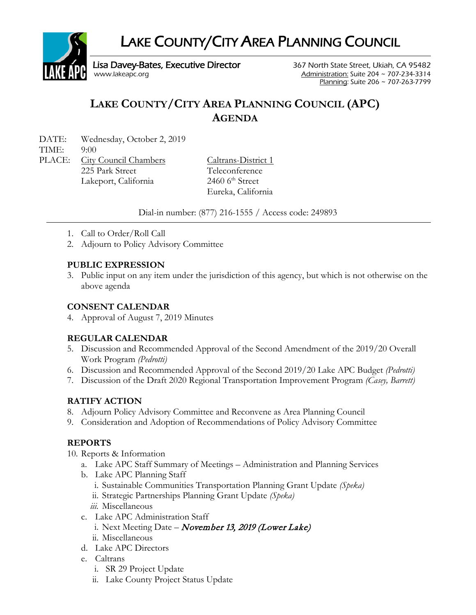LAKE COUNTY/CITY AREA PLANNING COUNCIL



Lisa Davey-Bates, Executive Director 367 North State Street, Ukiah, CA 95482 [www.lakeapc.org](http://www.lakeapc.org/) **Administration: Suite 204 ~ 707-234-3314** 

Planning: Suite 206 ~ 707-263-7799

# **LAKE COUNTY/CITY AREA PLANNING COUNCIL (APC) AGENDA**

DATE: Wednesday, October 2, 2019

TIME: 9:00

PLACE: City Council Chambers Caltrans-District 1 225 Park Street Teleconference Lakeport, California 2460 6<sup>th</sup> Street

Eureka, California

Dial-in number: (877) 216-1555 / Access code: 249893

- 1. Call to Order/Roll Call
- 2. Adjourn to Policy Advisory Committee

# **PUBLIC EXPRESSION**

3. Public input on any item under the jurisdiction of this agency, but which is not otherwise on the above agenda

# **CONSENT CALENDAR**

4. Approval of August 7, 2019 Minutes

# **REGULAR CALENDAR**

- 5. Discussion and Recommended Approval of the Second Amendment of the 2019/20 Overall Work Program *(Pedrotti)*
- 6. Discussion and Recommended Approval of the Second 2019/20 Lake APC Budget *(Pedrotti)*
- 7. Discussion of the Draft 2020 Regional Transportation Improvement Program *(Casey, Barrett)*

# **RATIFY ACTION**

- 8. Adjourn Policy Advisory Committee and Reconvene as Area Planning Council
- 9. Consideration and Adoption of Recommendations of Policy Advisory Committee

# **REPORTS**

10. Reports & Information

- a. Lake APC Staff Summary of Meetings Administration and Planning Services
- b. Lake APC Planning Staff
	- i. Sustainable Communities Transportation Planning Grant Update *(Speka)*
	- ii. Strategic Partnerships Planning Grant Update *(Speka)*
	- *iii.* Miscellaneous
- c. Lake APC Administration Staff
	- i. Next Meeting Date November 13, 2019 (Lower Lake)
- ii. Miscellaneous
- d. Lake APC Directors
- e. Caltrans
	- i. SR 29 Project Update
	- ii. Lake County Project Status Update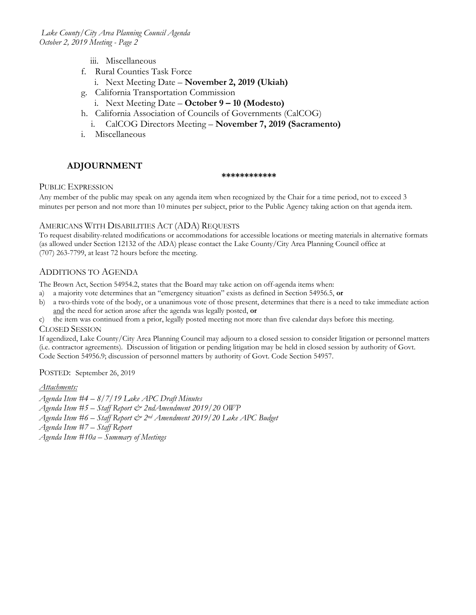- iii. Miscellaneous
- f. Rural Counties Task Force
	- i. Next Meeting Date **November 2, 2019 (Ukiah)**
- g. California Transportation Commission
	- i. Next Meeting Date **October 9 – 10 (Modesto)**
- h. California Association of Councils of Governments (CalCOG)
- i. CalCOG Directors Meeting **November 7, 2019 (Sacramento)**
- i. Miscellaneous

### **ADJOURNMENT**

#### **\*\*\*\*\*\*\*\*\*\*\*\***

#### PUBLIC EXPRESSION

Any member of the public may speak on any agenda item when recognized by the Chair for a time period, not to exceed 3 minutes per person and not more than 10 minutes per subject, prior to the Public Agency taking action on that agenda item.

#### AMERICANS WITH DISABILITIES ACT (ADA) REQUESTS

To request disability-related modifications or accommodations for accessible locations or meeting materials in alternative formats (as allowed under Section 12132 of the ADA) please contact the Lake County/City Area Planning Council office at (707) 263-7799, at least 72 hours before the meeting.

#### ADDITIONS TO AGENDA

The Brown Act, Section 54954.2, states that the Board may take action on off-agenda items when:

- a) a majority vote determines that an "emergency situation" exists as defined in Section 54956.5, **or**
- b) a two-thirds vote of the body, or a unanimous vote of those present, determines that there is a need to take immediate action and the need for action arose after the agenda was legally posted, **or**
- c) the item was continued from a prior, legally posted meeting not more than five calendar days before this meeting.

#### CLOSED SESSION

If agendized, Lake County/City Area Planning Council may adjourn to a closed session to consider litigation or personnel matters (i.e. contractor agreements). Discussion of litigation or pending litigation may be held in closed session by authority of Govt. Code Section 54956.9; discussion of personnel matters by authority of Govt. Code Section 54957.

POSTED: September 26, 2019

#### *Attachments:*

- *Agenda Item #4 – 8/7/19 Lake APC Draft Minutes*
- *Agenda Item #5 – Staff Report & 2ndAmendment 2019/20 OWP*
- *Agenda Item #6 – Staff Report & 2nd Amendment 2019/20 Lake APC Budget*
- *Agenda Item #7 – Staff Report*
- *Agenda Item #10a – Summary of Meetings*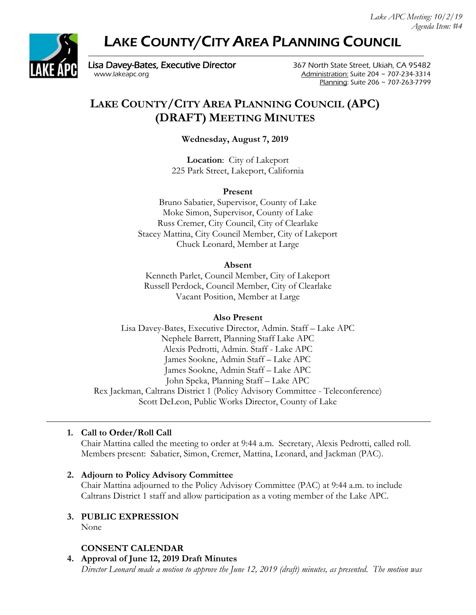# LAKE COUNTY/CITY AREA PLANNING COUNCIL



Lisa Davey-Bates, Executive Director **367 North State Street, Ukiah, CA 95482** [www.lakeapc.org](http://www.lakeapc.org/) Administration: Suite 204 ~ 707-234-3314

Planning: Suite 206 ~ 707-263-7799

# **LAKE COUNTY/CITY AREA PLANNING COUNCIL (APC) (DRAFT) MEETING MINUTES**

**Wednesday, August 7, 2019**

**Location**: City of Lakeport 225 Park Street, Lakeport, California

### **Present**

Bruno Sabatier, Supervisor, County of Lake Moke Simon, Supervisor, County of Lake Russ Cremer, City Council, City of Clearlake Stacey Mattina, City Council Member, City of Lakeport Chuck Leonard, Member at Large

#### **Absent**

Kenneth Parlet, Council Member, City of Lakeport Russell Perdock, Council Member, City of Clearlake Vacant Position, Member at Large

#### **Also Present**

Lisa Davey-Bates, Executive Director, Admin. Staff – Lake APC Nephele Barrett, Planning Staff Lake APC Alexis Pedrotti, Admin. Staff - Lake APC James Sookne, Admin Staff – Lake APC James Sookne, Admin Staff – Lake APC John Speka, Planning Staff – Lake APC Rex Jackman, Caltrans District 1 (Policy Advisory Committee - Teleconference) Scott DeLeon, Public Works Director, County of Lake

### **1. Call to Order/Roll Call**

Chair Mattina called the meeting to order at 9:44 a.m. Secretary, Alexis Pedrotti, called roll. Members present: Sabatier, Simon, Cremer, Mattina, Leonard, and Jackman (PAC).

### **2. Adjourn to Policy Advisory Committee**

Chair Mattina adjourned to the Policy Advisory Committee (PAC) at 9:44 a.m. to include Caltrans District 1 staff and allow participation as a voting member of the Lake APC.

## **3. PUBLIC EXPRESSION**

None

### **CONSENT CALENDAR**

**4. Approval of June 12, 2019 Draft Minutes**

*Director Leonard made a motion to approve the June 12, 2019 (draft) minutes, as presented. The motion was*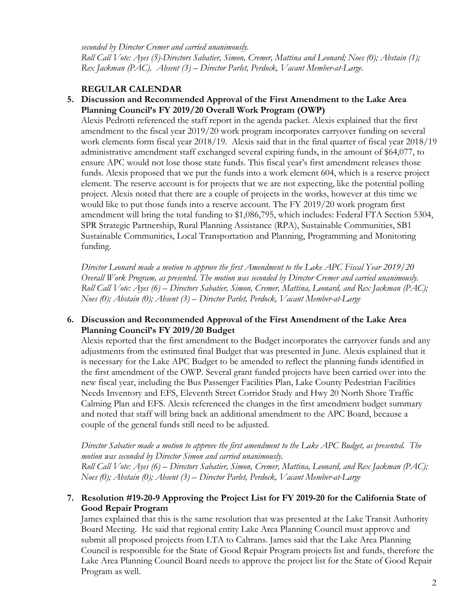*seconded by Director Cremer and carried unanimously.*

*Roll Call Vote: Ayes (5)-Directors Sabatier, Simon, Cremer, Mattina and Leonard; Noes (0); Abstain (1); Rex Jackman (PAC). Absent (3) – Director Parlet, Perdock, Vacant Member-at-Large.*

## **REGULAR CALENDAR**

**5. Discussion and Recommended Approval of the First Amendment to the Lake Area Planning Council's FY 2019/20 Overall Work Program (OWP)**

Alexis Pedrotti referenced the staff report in the agenda packet. Alexis explained that the first amendment to the fiscal year 2019/20 work program incorporates carryover funding on several work elements form fiscal year 2018/19. Alexis said that in the final quarter of fiscal year 2018/19 administrative amendment staff exchanged several expiring funds, in the amount of \$64,077, to ensure APC would not lose those state funds. This fiscal year's first amendment releases those funds. Alexis proposed that we put the funds into a work element 604, which is a reserve project element. The reserve account is for projects that we are not expecting, like the potential polling project. Alexis noted that there are a couple of projects in the works, however at this time we would like to put those funds into a reserve account. The FY 2019/20 work program first amendment will bring the total funding to \$1,086,795, which includes: Federal FTA Section 5304, SPR Strategic Partnership, Rural Planning Assistance (RPA), Sustainable Communities, SB1 Sustainable Communities, Local Transportation and Planning, Programming and Monitoring funding.

*Director Leonard made a motion to approve the first Amendment to the Lake APC Fiscal Year 2019/20 Overall Work Program, as presented. The motion was seconded by Director Cremer and carried unanimously. Roll Call Vote: Ayes (6) – Directors Sabatier, Simon, Cremer, Mattina, Leonard, and Rex Jackman (PAC); Noes (0); Abstain (0); Absent (3) – Director Parlet, Perdock, Vacant Member-at-Large*

## **6. Discussion and Recommended Approval of the First Amendment of the Lake Area Planning Council's FY 2019/20 Budget**

Alexis reported that the first amendment to the Budget incorporates the carryover funds and any adjustments from the estimated final Budget that was presented in June. Alexis explained that it is necessary for the Lake APC Budget to be amended to reflect the planning funds identified in the first amendment of the OWP. Several grant funded projects have been carried over into the new fiscal year, including the Bus Passenger Facilities Plan, Lake County Pedestrian Facilities Needs Inventory and EFS, Eleventh Street Corridor Study and Hwy 20 North Shore Traffic Calming Plan and EFS. Alexis referenced the changes in the first amendment budget summary and noted that staff will bring back an additional amendment to the APC Board, because a couple of the general funds still need to be adjusted.

*Director Sabatier made a motion to approve the first amendment to the Lake APC Budget, as presented. The motion was seconded by Director Simon and carried unanimously.*

*Roll Call Vote: Ayes (6) – Directors Sabatier, Simon, Cremer, Mattina, Leonard, and Rex Jackman (PAC); Noes (0); Abstain (0); Absent (3) – Director Parlet, Perdock, Vacant Member-at-Large*

## **7. Resolution #19-20-9 Approving the Project List for FY 2019-20 for the California State of Good Repair Program**

James explained that this is the same resolution that was presented at the Lake Transit Authority Board Meeting. He said that regional entity Lake Area Planning Council must approve and submit all proposed projects from LTA to Caltrans. James said that the Lake Area Planning Council is responsible for the State of Good Repair Program projects list and funds, therefore the Lake Area Planning Council Board needs to approve the project list for the State of Good Repair Program as well.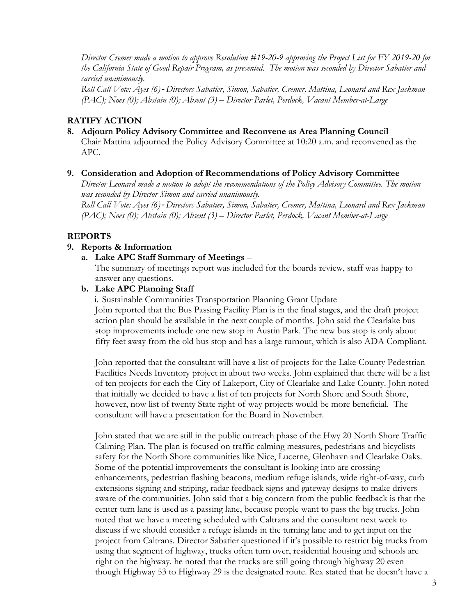*Director Cremer made a motion to approve Resolution #19-20-9 approving the Project List for FY 2019-20 for the California State of Good Repair Program, as presented. The motion was seconded by Director Sabatier and carried unanimously.*

*Roll Call Vote: Ayes (6)*-*Directors Sabatier, Simon, Sabatier, Cremer, Mattina, Leonard and Rex Jackman (PAC); Noes (0); Abstain (0); Absent (3) – Director Parlet, Perdock, Vacant Member-at-Large*

#### **RATIFY ACTION**

**8. Adjourn Policy Advisory Committee and Reconvene as Area Planning Council** Chair Mattina adjourned the Policy Advisory Committee at 10:20 a.m. and reconvened as the APC.

#### **9. Consideration and Adoption of Recommendations of Policy Advisory Committee**

*Director Leonard made a motion to adopt the recommendations of the Policy Advisory Committee. The motion was seconded by Director Simon and carried unanimously.* 

*Roll Call Vote: Ayes (6)*-*Directors Sabatier, Simon, Sabatier, Cremer, Mattina, Leonard and Rex Jackman (PAC); Noes (0); Abstain (0); Absent (3) – Director Parlet, Perdock, Vacant Member-at-Large*

#### **REPORTS**

#### **9. Reports & Information**

#### **a. Lake APC Staff Summary of Meetings** –

The summary of meetings report was included for the boards review, staff was happy to answer any questions.

#### **b. Lake APC Planning Staff**

i. Sustainable Communities Transportation Planning Grant Update John reported that the Bus Passing Facility Plan is in the final stages, and the draft project action plan should be available in the next couple of months. John said the Clearlake bus stop improvements include one new stop in Austin Park. The new bus stop is only about fifty feet away from the old bus stop and has a large turnout, which is also ADA Compliant.

John reported that the consultant will have a list of projects for the Lake County Pedestrian Facilities Needs Inventory project in about two weeks. John explained that there will be a list of ten projects for each the City of Lakeport, City of Clearlake and Lake County. John noted that initially we decided to have a list of ten projects for North Shore and South Shore, however, now list of twenty State right-of-way projects would be more beneficial. The consultant will have a presentation for the Board in November.

John stated that we are still in the public outreach phase of the Hwy 20 North Shore Traffic Calming Plan. The plan is focused on traffic calming measures, pedestrians and bicyclists safety for the North Shore communities like Nice, Lucerne, Glenhavn and Clearlake Oaks. Some of the potential improvements the consultant is looking into are crossing enhancements, pedestrian flashing beacons, medium refuge islands, wide right-of-way, curb extensions signing and striping, radar feedback signs and gateway designs to make drivers aware of the communities. John said that a big concern from the public feedback is that the center turn lane is used as a passing lane, because people want to pass the big trucks. John noted that we have a meeting scheduled with Caltrans and the consultant next week to discuss if we should consider a refuge islands in the turning lane and to get input on the project from Caltrans. Director Sabatier questioned if it's possible to restrict big trucks from using that segment of highway, trucks often turn over, residential housing and schools are right on the highway. he noted that the trucks are still going through highway 20 even though Highway 53 to Highway 29 is the designated route. Rex stated that he doesn't have a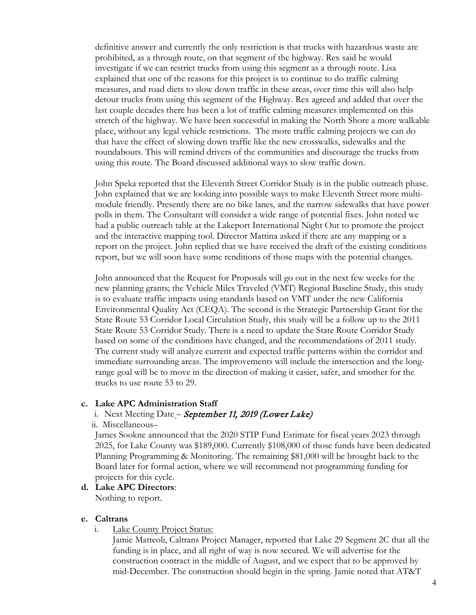definitive answer and currently the only restriction is that trucks with hazardous waste are prohibited, as a through route, on that segment of the highway. Rex said he would investigate if we can restrict trucks from using this segment as a through route. Lisa explained that one of the reasons for this project is to continue to do traffic calming measures, and road diets to slow down traffic in these areas, over time this will also help detour trucks from using this segment of the Highway. Rex agreed and added that over the last couple decades there has been a lot of traffic calming measures implemented on this stretch of the highway. We have been successful in making the North Shore a more walkable place, without any legal vehicle restrictions. The more traffic calming projects we can do that have the effect of slowing down traffic like the new crosswalks, sidewalks and the roundabouts. This will remind drivers of the communities and discourage the trucks from using this route. The Board discussed additional ways to slow traffic down.

John Speka reported that the Eleventh Street Corridor Study is in the public outreach phase. John explained that we are looking into possible ways to make Eleventh Street more multimodule friendly. Presently there are no bike lanes, and the narrow sidewalks that have power polls in them. The Consultant will consider a wide range of potential fixes. John noted we had a public outreach table at the Lakeport International Night Out to promote the project and the interactive mapping tool. Director Mattina asked if there are any mapping or a report on the project. John replied that we have received the draft of the existing conditions report, but we will soon have some renditions of those maps with the potential changes.

John announced that the Request for Proposals will go out in the next few weeks for the new planning grants; the Vehicle Miles Traveled (VMT) Regional Baseline Study, this study is to evaluate traffic impacts using standards based on VMT under the new California Environmental Quality Act (CEQA). The second is the Strategic Partnership Grant for the State Route 53 Corridor Local Circulation Study, this study will be a follow up to the 2011 State Route 53 Corridor Study. There is a need to update the State Route Corridor Study based on some of the conditions have changed, and the recommendations of 2011 study. The current study will analyze current and expected traffic patterns within the corridor and immediate surrounding areas. The improvements will include the intersection and the longrange goal will be to move in the direction of making it easier, safer, and smother for the trucks to use route 53 to 29.

#### **c. Lake APC Administration Staff**

#### i. Next Meeting Date – September 11, 2019 (Lower Lake)

#### ii. Miscellaneous–

James Sookne announced that the 2020 STIP Fund Estimate for fiscal years 2023 through 2025, for Lake County was \$189,000. Currently \$108,000 of those funds have been dedicated Planning Programming & Monitoring. The remaining \$81,000 will be brought back to the Board later for formal action, where we will recommend not programming funding for projects for this cycle.

#### **d. Lake APC Directors**:

Nothing to report.

#### **e. Caltrans**

i. Lake County Project Status:

Jamie Matteoli, Caltrans Project Manager, reported that Lake 29 Segment 2C that all the funding is in place, and all right of way is now secured. We will advertise for the construction contract in the middle of August, and we expect that to be approved by mid-December. The construction should begin in the spring. Jamie noted that AT&T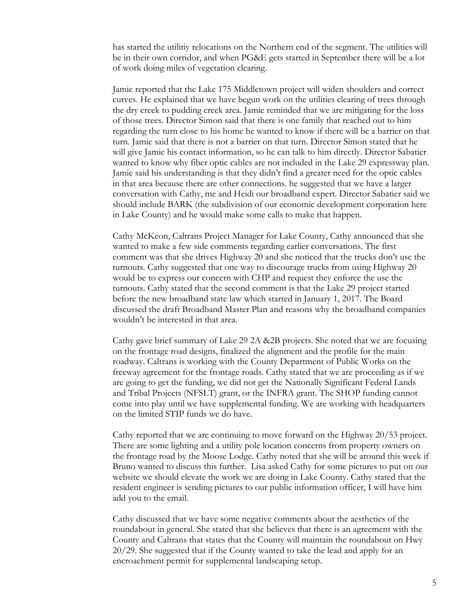has started the utilitiy relocations on the Northern end of the segment. The utilities will be in their own corridor, and when PG&E gets started in September there will be a lot of work doing miles of vegetation clearing.

Jamie reported that the Lake 175 Middletown project will widen shoulders and correct curves. He explained that we have begun work on the utilities clearing of trees through the dry creek to pudding creek area. Jamie reminded that we are mitigating for the loss of those trees. Director Simon said that there is one family that reached out to him regarding the turn close to his home he wanted to know if there will be a barrier on that turn. Jamie said that there is not a barrier on that turn. Director Simon stated that he will give Jamie his contact information, so he can talk to him directly. Director Sabatier wanted to know why fiber optic cables are not included in the Lake 29 expressway plan. Jamie said his understanding is that they didn't find a greater need for the optic cables in that area because there are other connections. he suggested that we have a larger conversation with Cathy, me and Heidi our broadband expert. Director Sabatier said we should include BARK (the subdivision of our economic development corporation here in Lake County) and he would make some calls to make that happen.

Cathy McKeon, Caltrans Project Manager for Lake County, Cathy announced that she wanted to make a few side comments regarding earlier conversations. The first comment was that she drives Highway 20 and she noticed that the trucks don't use the turnouts. Cathy suggested that one way to discourage trucks from using Highway 20 would be to express our concern with CHP and request they enforce the use the turnouts. Cathy stated that the second comment is that the Lake 29 project started before the new broadband state law which started in January 1, 2017. The Board discussed the draft Broadband Master Plan and reasons why the broadband companies wouldn't be interested in that area.

Cathy gave brief summary of Lake 29 2A &2B projects. She noted that we are focusing on the frontage road designs, finalized the alignment and the profile for the main roadway. Caltrans is working with the County Department of Public Works on the freeway agreement for the frontage roads. Cathy stated that we are proceeding as if we are going to get the funding, we did not get the Nationally Significant Federal Lands and Tribal Projects (NFSLT) grant, or the INFRA grant. The SHOP funding cannot come into play until we have supplemental funding. We are working with headquarters on the limited STIP funds we do have.

Cathy reported that we are continuing to move forward on the Highway 20/53 project. There are some lighting and a utility pole location concerns from property owners on the frontage road by the Moose Lodge. Cathy noted that she will be around this week if Bruno wanted to discuss this further. Lisa asked Cathy for some pictures to put on our website we should elevate the work we are doing in Lake County. Cathy stated that the resident engineer is sending pictures to our public information officer, I will have him add you to the email.

Cathy discussed that we have some negative comments about the aesthetics of the roundabout in general. She stated that she believes that there is an agreement with the County and Caltrans that states that the County will maintain the roundabout on Hwy 20/29. She suggested that if the County wanted to take the lead and apply for an encroachment permit for supplemental landscaping setup.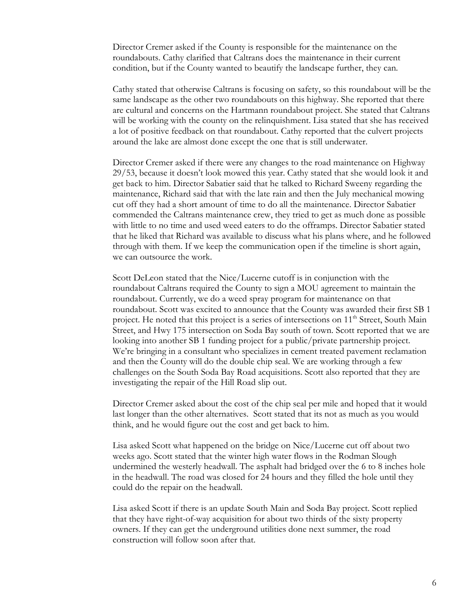Director Cremer asked if the County is responsible for the maintenance on the roundabouts. Cathy clarified that Caltrans does the maintenance in their current condition, but if the County wanted to beautify the landscape further, they can.

Cathy stated that otherwise Caltrans is focusing on safety, so this roundabout will be the same landscape as the other two roundabouts on this highway. She reported that there are cultural and concerns on the Hartmann roundabout project. She stated that Caltrans will be working with the county on the relinquishment. Lisa stated that she has received a lot of positive feedback on that roundabout. Cathy reported that the culvert projects around the lake are almost done except the one that is still underwater.

Director Cremer asked if there were any changes to the road maintenance on Highway 29/53, because it doesn't look mowed this year. Cathy stated that she would look it and get back to him. Director Sabatier said that he talked to Richard Sweeny regarding the maintenance, Richard said that with the late rain and then the July mechanical mowing cut off they had a short amount of time to do all the maintenance. Director Sabatier commended the Caltrans maintenance crew, they tried to get as much done as possible with little to no time and used weed eaters to do the offramps. Director Sabatier stated that he liked that Richard was available to discuss what his plans where, and he followed through with them. If we keep the communication open if the timeline is short again, we can outsource the work.

Scott DeLeon stated that the Nice/Lucerne cutoff is in conjunction with the roundabout Caltrans required the County to sign a MOU agreement to maintain the roundabout. Currently, we do a weed spray program for maintenance on that roundabout. Scott was excited to announce that the County was awarded their first SB 1 project. He noted that this project is a series of intersections on 11<sup>th</sup> Street, South Main Street, and Hwy 175 intersection on Soda Bay south of town. Scott reported that we are looking into another SB 1 funding project for a public/private partnership project. We're bringing in a consultant who specializes in cement treated pavement reclamation and then the County will do the double chip seal. We are working through a few challenges on the South Soda Bay Road acquisitions. Scott also reported that they are investigating the repair of the Hill Road slip out.

Director Cremer asked about the cost of the chip seal per mile and hoped that it would last longer than the other alternatives. Scott stated that its not as much as you would think, and he would figure out the cost and get back to him.

Lisa asked Scott what happened on the bridge on Nice/Lucerne cut off about two weeks ago. Scott stated that the winter high water flows in the Rodman Slough undermined the westerly headwall. The asphalt had bridged over the 6 to 8 inches hole in the headwall. The road was closed for 24 hours and they filled the hole until they could do the repair on the headwall.

Lisa asked Scott if there is an update South Main and Soda Bay project. Scott replied that they have right-of-way acquisition for about two thirds of the sixty property owners. If they can get the underground utilities done next summer, the road construction will follow soon after that.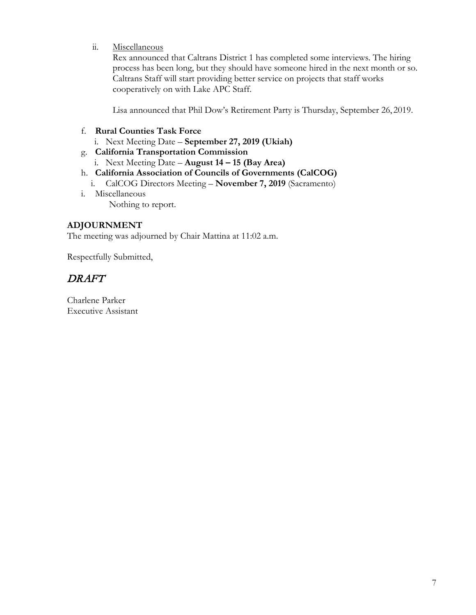ii. Miscellaneous

Rex announced that Caltrans District 1 has completed some interviews. The hiring process has been long, but they should have someone hired in the next month or so. Caltrans Staff will start providing better service on projects that staff works cooperatively on with Lake APC Staff.

Lisa announced that Phil Dow's Retirement Party is Thursday, September 26, 2019.

## f. **Rural Counties Task Force**

- i. Next Meeting Date **September 27, 2019 (Ukiah)**
- g. **California Transportation Commission**
	- i. Next Meeting Date **August 14 – 15 (Bay Area)**

## h. **California Association of Councils of Governments (CalCOG)**

- i. CalCOG Directors Meeting **November 7, 2019** (Sacramento)
- i. Miscellaneous Nothing to report.

## **ADJOURNMENT**

The meeting was adjourned by Chair Mattina at 11:02 a.m.

Respectfully Submitted,

# DRAFT

Charlene Parker Executive Assistant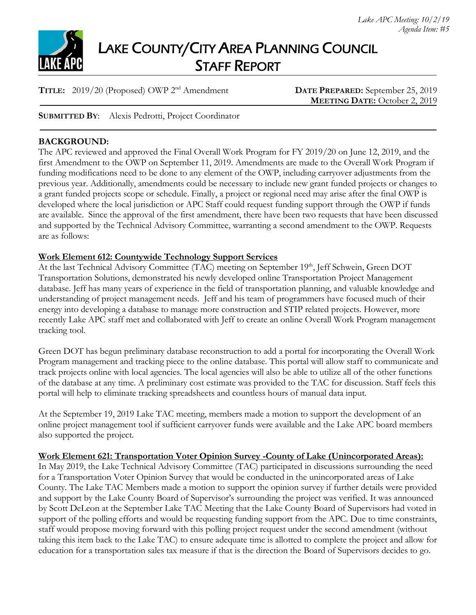

# LAKE COUNTY/CITY AREA PLANNING COUNCIL STAFF REPORT

**TITLE:** 2019/20 (Proposed) OWP 2nd Amendment **DATE PREPARED:** September 25, 2019

**MEETING DATE:** October 2, 2019

**SUBMITTED BY**: Alexis Pedrotti, Project Coordinator

## **BACKGROUND:**

The APC reviewed and approved the Final Overall Work Program for FY 2019/20 on June 12, 2019, and the first Amendment to the OWP on September 11, 2019. Amendments are made to the Overall Work Program if funding modifications need to be done to any element of the OWP, including carryover adjustments from the previous year. Additionally, amendments could be necessary to include new grant funded projects or changes to a grant funded projects scope or schedule. Finally, a project or regional need may arise after the final OWP is developed where the local jurisdiction or APC Staff could request funding support through the OWP if funds are available. Since the approval of the first amendment, there have been two requests that have been discussed and supported by the Technical Advisory Committee, warranting a second amendment to the OWP. Requests are as follows:

## **Work Element 612: Countywide Technology Support Services**

At the last Technical Advisory Committee (TAC) meeting on September 19th, Jeff Schwein, Green DOT Transportation Solutions, demonstrated his newly developed online Transportation Project Management database. Jeff has many years of experience in the field of transportation planning, and valuable knowledge and understanding of project management needs. Jeff and his team of programmers have focused much of their energy into developing a database to manage more construction and STIP related projects. However, more recently Lake APC staff met and collaborated with Jeff to create an online Overall Work Program management tracking tool.

Green DOT has begun preliminary database reconstruction to add a portal for incorporating the Overall Work Program management and tracking piece to the online database. This portal will allow staff to communicate and track projects online with local agencies. The local agencies will also be able to utilize all of the other functions of the database at any time. A preliminary cost estimate was provided to the TAC for discussion. Staff feels this portal will help to eliminate tracking spreadsheets and countless hours of manual data input.

At the September 19, 2019 Lake TAC meeting, members made a motion to support the development of an online project management tool if sufficient carryover funds were available and the Lake APC board members also supported the project.

# **Work Element 621: Transportation Voter Opinion Survey -County of Lake (Unincorporated Areas):**

In May 2019, the Lake Technical Advisory Committee (TAC) participated in discussions surrounding the need for a Transportation Voter Opinion Survey that would be conducted in the unincorporated areas of Lake County. The Lake TAC Members made a motion to support the opinion survey if further details were provided and support by the Lake County Board of Supervisor's surrounding the project was verified. It was announced by Scott DeLeon at the September Lake TAC Meeting that the Lake County Board of Supervisors had voted in support of the polling efforts and would be requesting funding support from the APC. Due to time constraints, staff would propose moving forward with this polling project request under the second amendment (without taking this item back to the Lake TAC) to ensure adequate time is allotted to complete the project and allow for education for a transportation sales tax measure if that is the direction the Board of Supervisors decides to go.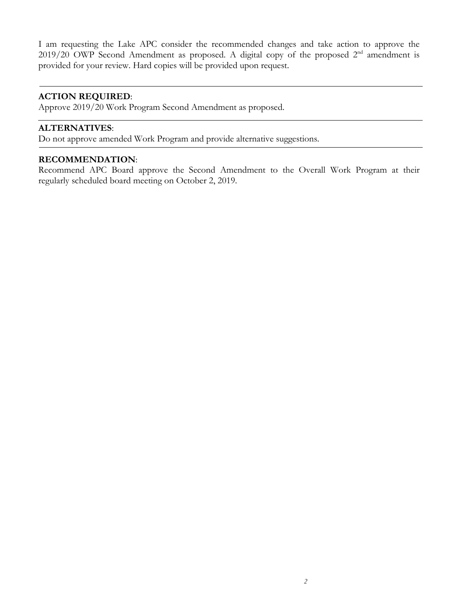I am requesting the Lake APC consider the recommended changes and take action to approve the 2019/20 OWP Second Amendment as proposed. A digital copy of the proposed 2<sup>nd</sup> amendment is provided for your review. Hard copies will be provided upon request.

## **ACTION REQUIRED**:

Approve 2019/20 Work Program Second Amendment as proposed.

### **ALTERNATIVES**:

Do not approve amended Work Program and provide alternative suggestions.

## **RECOMMENDATION**:

Recommend APC Board approve the Second Amendment to the Overall Work Program at their regularly scheduled board meeting on October 2, 2019.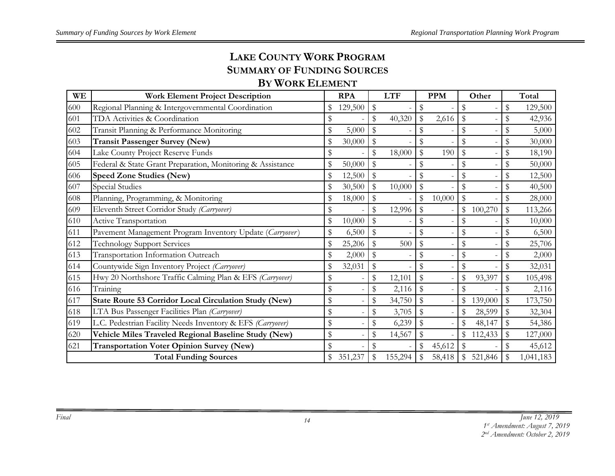# **LAKE COUNTY WORK PROGRAM SUMMARY OF FUNDING SOURCES**

# **BY WORK ELEMENT**

| WЕ  | <b>Work Element Project Description</b>                    |               | <b>RPA</b> | <b>LTF</b>   |                           | <b>PPM</b> |               | Other                    |              | Total     |
|-----|------------------------------------------------------------|---------------|------------|--------------|---------------------------|------------|---------------|--------------------------|--------------|-----------|
| 600 | Regional Planning & Intergovernmental Coordination         |               | 129,500    | \$           | \$                        |            | \$            |                          | \$           | 129,500   |
| 601 | TDA Activities & Coordination                              | \$            |            | \$<br>40,320 | $\mathfrak{F}$            | 2,616      | \$            |                          | \$           | 42,936    |
| 602 | Transit Planning & Performance Monitoring                  | \$            | 5,000      |              | $\mathbb{S}$              |            | ${\mathbb S}$ |                          | \$           | 5,000     |
| 603 | <b>Transit Passenger Survey (New)</b>                      | \$            | 30,000     | \$           | \$                        |            | \$            |                          | $\mathbb S$  | 30,000    |
| 604 | Lake County Project Reserve Funds                          | \$            |            | \$<br>18,000 | $\mathbb{S}$              | 190        | \$            |                          | \$           | 18,190    |
| 605 | Federal & State Grant Preparation, Monitoring & Assistance | \$            | 50,000     | \$           | \$                        |            | \$            | $\overline{\phantom{a}}$ | \$           | 50,000    |
| 606 | <b>Speed Zone Studies (New)</b>                            | \$            | 12,500     | \$           | $\frac{1}{2}$             |            | \$            |                          | \$           | 12,500    |
| 607 | Special Studies                                            | \$            | 30,500     | \$<br>10,000 | $\boldsymbol{\mathsf{S}}$ |            |               |                          | \$           | 40,500    |
| 608 | Planning, Programming, & Monitoring                        | \$            | 18,000     | \$           | ${\mathbb S}$             | 10,000     | \$            |                          | \$           | 28,000    |
| 609 | Eleventh Street Corridor Study (Carryover)                 | \$            |            | \$<br>12,996 | $\mathbb S$               |            | \$            | 100,270                  | \$           | 113,266   |
| 610 | Active Transportation                                      | \$            | 10,000     | \$           | \$                        |            | \$            |                          | \$           | 10,000    |
| 611 | Pavement Management Program Inventory Update (Carryover)   | \$            | 6,500      | \$           | \$                        |            | \$            |                          | \$           | 6,500     |
| 612 | <b>Technology Support Services</b>                         | \$            | 25,206     | \$<br>500    | \$                        |            | \$            |                          | \$           | 25,706    |
| 613 | Transportation Information Outreach                        | \$            | 2,000      | \$           | \$                        |            | \$            |                          | \$           | 2,000     |
| 614 | Countywide Sign Inventory Project (Carryover)              | \$            | 32,031     | \$           | \$                        |            | \$            |                          | \$           | 32,031    |
| 615 | Hwy 20 Northshore Traffic Calming Plan & EFS (Carryover)   | \$            |            | \$<br>12,101 | \$                        |            | \$            | 93,397                   | \$           | 105,498   |
| 616 | Training                                                   | \$            |            | \$<br>2,116  | $\frac{1}{2}$             |            | \$            |                          | \$           | 2,116     |
| 617 | State Route 53 Corridor Local Circulation Study (New)      | $\frac{1}{2}$ |            | \$<br>34,750 | $\mathfrak{F}$            |            | \$            | 139,000                  | \$           | 173,750   |
| 618 | LTA Bus Passenger Facilities Plan (Carryover)              | \$            |            | \$<br>3,705  | $\mathfrak{F}$            |            | \$            | 28,599                   | \$           | 32,304    |
| 619 | L.C. Pedestrian Facility Needs Inventory & EFS (Carryover) | \$            |            | \$<br>6,239  | $\mathbb{S}$              |            |               | 48,147                   | $\mathbb{S}$ | 54,386    |
| 620 | Vehicle Miles Traveled Regional Baseline Study (New)       | \$            |            | \$<br>14,567 | \$                        |            | \$            | 112,433                  | \$           | 127,000   |
| 621 | <b>Transportation Voter Opinion Survey (New)</b>           | \$            |            | \$           | $\$\,$                    | 45,612     | \$            |                          | \$           | 45,612    |
|     | <b>Total Funding Sources</b>                               |               | 351,237    | 155,294      |                           | 58,418     |               | 521,846                  |              | 1,041,183 |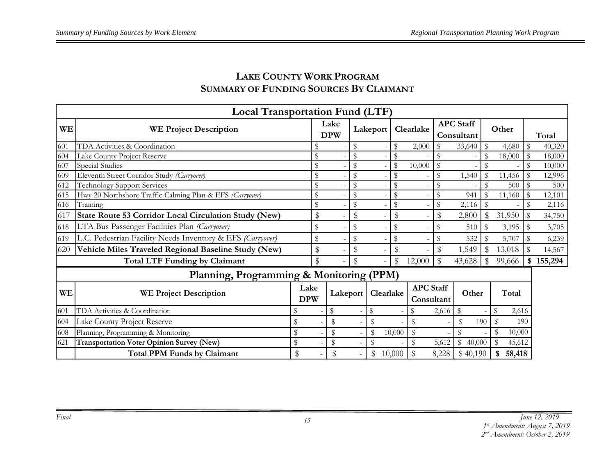# **LAKE COUNTY WORK PROGRAM SUMMARY OF FUNDING SOURCES BY CLAIMANT**

|           | <b>Local Transportation Fund (LTF)</b>                     |                    |                    |               |           |              |                                |             |                                |     |              |             |         |
|-----------|------------------------------------------------------------|--------------------|--------------------|---------------|-----------|--------------|--------------------------------|-------------|--------------------------------|-----|--------------|-------------|---------|
| <b>WE</b> | <b>WE Project Description</b>                              |                    | Lake<br><b>DPW</b> |               | Lakeport  | Clearlake    |                                |             | <b>APC</b> Staff<br>Consultant |     | Other        |             | Total   |
| 601       | TDA Activities & Coordination                              | \$                 |                    | S             |           | \$           | 2,000                          | \$          | 33,640                         | \$  | 4,680        | \$          | 40,320  |
| 604       | Lake County Project Reserve                                | \$                 |                    | \$            |           | S            |                                |             |                                | \$  | 18,000       | $\mathbb S$ | 18,000  |
| 607       | Special Studies                                            | \$                 |                    | $\mathcal{S}$ |           |              | 10,000                         | $\mathbb S$ |                                |     |              | \$          | 10,000  |
| 609       | Eleventh Street Corridor Study (Carryover)                 | $\mathbb S$        |                    |               |           |              |                                |             | 1,540                          |     | 11,456       | $\mathbb S$ | 12,996  |
| 612       | <b>Technology Support Services</b>                         | $\mathbb S$        |                    |               |           |              |                                |             |                                |     | 500          |             | 500     |
| 615       | Hwy 20 Northshore Traffic Calming Plan & EFS (Carryover)   | \$                 |                    | $\mathcal{S}$ |           | $\mathbb{S}$ |                                | \$          | 941                            |     | 11,160       |             | 12,101  |
| 616       | Training                                                   | $\mathbb S$        |                    | \$            |           | \$           |                                | \$          | 2,116                          |     |              |             | 2,116   |
| 617       | State Route 53 Corridor Local Circulation Study (New)      | \$                 |                    | \$            |           | \$           |                                | \$          | 2,800                          | \$  | 31,950       | \$          | 34,750  |
| 618       | LTA Bus Passenger Facilities Plan (Carryover)              | \$                 |                    | \$            |           | \$           |                                |             | 510                            | \$  | 3,195        | \$          | 3,705   |
| 619       | L.C. Pedestrian Facility Needs Inventory & EFS (Carryover) | $\,$               |                    | \$            |           | \$           |                                | \$          | 532                            |     | 5,707        |             | 6,239   |
| 620       | Vehicle Miles Traveled Regional Baseline Study (New)       | \$                 |                    | $\mathbb S$   |           | \$           |                                | \$          | 1,549                          | \$  | 13,018       |             | 14,567  |
|           | <b>Total LTF Funding by Claimant</b>                       | \$                 |                    | \$            |           | \$           | 12,000                         | \$          | 43,628                         | \$  | 99,666       | \$          | 155,294 |
|           | Planning, Programming & Monitoring (PPM)                   |                    |                    |               |           |              |                                |             |                                |     |              |             |         |
| WE        | <b>WE Project Description</b>                              | Lake<br><b>DPW</b> | Lakeport           |               | Clearlake |              | <b>APC</b> Staff<br>Consultant |             | Other                          |     | Total        |             |         |
| 601       | TDA Activities & Coordination                              |                    | \$                 |               | \$        |              |                                | 2,616       | \$                             |     | \$<br>2,616  |             |         |
| 604       | Lake County Project Reserve                                | \$                 |                    |               | \$        |              |                                |             | S                              | 190 | \$<br>190    |             |         |
| 608       | Planning, Programming & Monitoring                         | \$                 | $\mathcal{L}$      |               | \$        | 10,000       | \$                             |             |                                |     | 10,000       |             |         |
| 621       | <b>Transportation Voter Opinion Survey (New)</b>           | \$                 | $\mathcal{S}$      |               | \$        |              | \$                             | 5,612       | \$<br>40,000                   |     | 45,612       |             |         |
|           | <b>Total PPM Funds by Claimant</b>                         | \$                 | \$                 |               | \$        | 10,000       | $\mathbb{S}$                   | 8,228       | \$40,190                       |     | 58,418<br>\$ |             |         |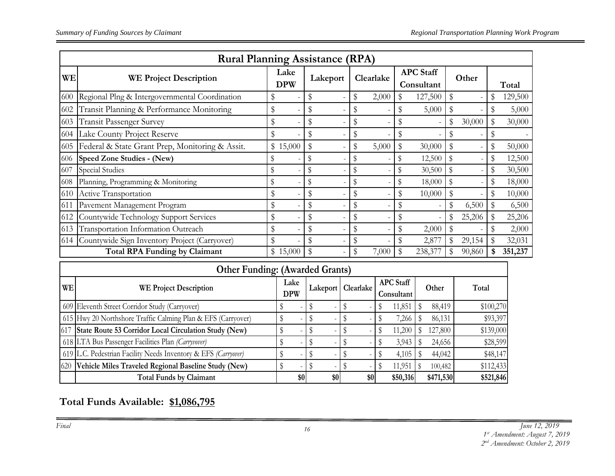|     | <b>Rural Planning Assistance (RPA)</b>          |                    |          |  |    |           |    |                                |    |        |  |         |  |
|-----|-------------------------------------------------|--------------------|----------|--|----|-----------|----|--------------------------------|----|--------|--|---------|--|
| WE  | <b>WE Project Description</b>                   | Lake<br><b>DPW</b> | Lakeport |  |    | Clearlake |    | <b>APC</b> Staff<br>Consultant |    | Other  |  | Total   |  |
| 600 | Regional Plng & Intergovernmental Coordination  | \$                 | \$       |  | \$ | 2,000     | \$ | 127,500                        | \$ |        |  | 129,500 |  |
| 602 | Transit Planning & Performance Monitoring       | \$                 |          |  | \$ |           |    | 5,000                          |    |        |  | 5,000   |  |
| 603 | <b>Transit Passenger Survey</b>                 | \$                 |          |  | \$ |           |    |                                | \$ | 30,000 |  | 30,000  |  |
| 604 | Lake County Project Reserve                     |                    |          |  | \$ |           |    |                                |    |        |  |         |  |
| 605 | Federal & State Grant Prep, Monitoring & Assit. | \$15,000           |          |  | \$ | 5,000     |    | 30,000                         |    |        |  | 50,000  |  |
| 606 | Speed Zone Studies - (New)                      |                    | S        |  |    |           | \$ | 12,500                         |    |        |  | 12,500  |  |
| 607 | Special Studies                                 |                    | \$       |  | \$ |           | \$ | 30,500                         |    |        |  | 30,500  |  |
| 608 | Planning, Programming & Monitoring              | \$                 | \$       |  | \$ |           | \$ | 18,000                         |    |        |  | 18,000  |  |
| 610 | Active Transportation                           | \$                 |          |  | \$ |           |    | 10,000                         |    |        |  | 10,000  |  |
| 611 | Pavement Management Program                     | \$                 |          |  | \$ |           |    |                                | \$ | 6,500  |  | 6,500   |  |
| 612 | Countywide Technology Support Services          | \$                 |          |  | \$ |           |    |                                |    | 25,206 |  | 25,206  |  |
| 613 | Transportation Information Outreach             | \$                 | \$       |  | \$ |           | \$ | 2,000                          |    |        |  | 2,000   |  |
| 614 | Countywide Sign Inventory Project (Carryover)   | \$                 | \$       |  | \$ |           |    | 2,877                          |    | 29,154 |  | 32,031  |  |
|     | <b>Total RPA Funding by Claimant</b>            | \$15,000           | \$       |  | \$ | 7,000     |    | 238,377                        |    | 90,860 |  | 351,237 |  |

|           | <b>Other Funding: (Awarded Grants)</b>                         |                    |                       |     |                                |           |           |  |  |  |  |  |  |  |
|-----------|----------------------------------------------------------------|--------------------|-----------------------|-----|--------------------------------|-----------|-----------|--|--|--|--|--|--|--|
| <b>WE</b> | <b>WE Project Description</b>                                  | Lake<br><b>DPW</b> | Clearlake<br>Lakeport |     | <b>APC</b> Staff<br>Consultant | Other     | Total     |  |  |  |  |  |  |  |
|           | 609 Eleventh Street Corridor Study (Carryover)                 |                    |                       |     | 11,851                         | 88,419    | \$100,270 |  |  |  |  |  |  |  |
|           | 615 Hwy 20 Northshore Traffic Calming Plan & EFS (Carryover)   |                    |                       |     | 7,266                          | 86,131    | \$93,397  |  |  |  |  |  |  |  |
| 617       | State Route 53 Corridor Local Circulation Study (New)          |                    |                       |     | 11,200                         | 127,800   | \$139,000 |  |  |  |  |  |  |  |
|           | 618 LTA Bus Passenger Facilities Plan (Carryvover)             |                    |                       |     | 3,943                          | 24,656    | \$28,599  |  |  |  |  |  |  |  |
|           | 619 L.C. Pedestrian Facility Needs Inventory & EFS (Carryover) |                    |                       |     | 4,105                          | 44,042    | \$48,147  |  |  |  |  |  |  |  |
| 620       | Vehicle Miles Traveled Regional Baseline Study (New)           |                    |                       |     | 11,951                         | 100,482   | \$112,433 |  |  |  |  |  |  |  |
|           | <b>Total Funds by Claimant</b>                                 | \$0                | \$0                   | \$0 | \$50,316                       | \$471,530 | \$521,846 |  |  |  |  |  |  |  |

**Total Funds Available: \$1,086,795**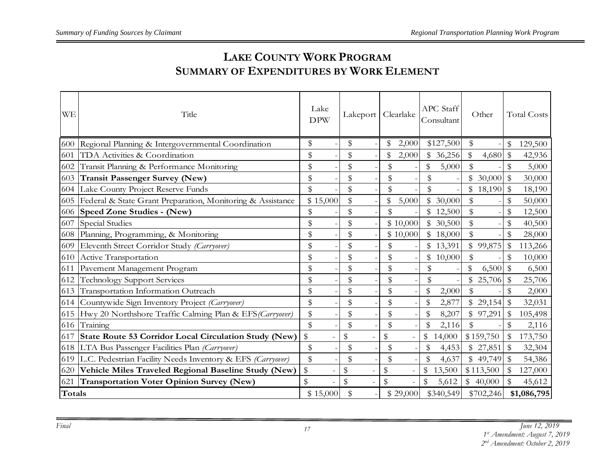# **LAKE COUNTY WORK PROGRAM SUMMARY OF EXPENDITURES BY WORK ELEMENT**

| <b>WE</b> | Title                                                        | Lake<br><b>DPW</b> | Lakeport      | Clearlake      | APC Staff<br>Consultant | Other         | <b>Total Costs</b>     |
|-----------|--------------------------------------------------------------|--------------------|---------------|----------------|-------------------------|---------------|------------------------|
| 600       | Regional Planning & Intergovernmental Coordination           | \$                 | \$            | 2,000          | \$127,500               | \$            | \$<br>129,500          |
| 601       | TDA Activities & Coordination                                | \$                 | \$            | 2,000          | \$36,256                | \$<br>4,680   | \$<br>42,936           |
| 602       | Transit Planning & Performance Monitoring                    | \$                 | \$            | \$             | 5,000                   | \$            | \$<br>5,000            |
| 603       | <b>Transit Passenger Survey (New)</b>                        | \$                 | \$            | \$             | \$                      | 30,000        | $\mathbb S$<br>30,000  |
| 604       | Lake County Project Reserve Funds                            | $\mathbb S$        | $\frac{1}{2}$ | \$             | \$                      | \$18,190      | $\mathbb{S}$<br>18,190 |
| 605       | Federal & State Grant Preparation, Monitoring & Assistance   | \$15,000           | \$            | 5,000          | \$<br>30,000            | \$            | \$<br>50,000           |
| 606       | <b>Speed Zone Studies - (New)</b>                            | \$                 | \$            | \$             | 12,500                  | ${\mathbb S}$ | \$<br>12,500           |
| 607       | <b>Special Studies</b>                                       | \$                 | \$            | \$10,000       | \$ 30,500               | \$            | \$<br>40,500           |
| 608       | Planning, Programming, & Monitoring                          | \$                 | \$            | \$10,000       | \$18,000                | ${\mathbb S}$ | \$<br>28,000           |
| 609       | Eleventh Street Corridor Study (Carryover)                   | \$                 | \$            | \$             | \$13,391                | \$99,875      | \$<br>113,266          |
| 610       | Active Transportation                                        | \$                 | \$            | \$             | \$<br>10,000            | \$            | \$<br>10,000           |
| 611       | Pavement Management Program                                  | \$                 | \$            | \$             | \$                      | 6,500         | \$<br>6,500            |
| 612       | <b>Technology Support Services</b>                           | \$                 | \$            | \$             | \$                      | 25,706<br>\$  | \$<br>25,706           |
|           | 613 Transportation Information Outreach                      | \$                 | \$            | \$             | 2,000                   | \$            | \$<br>2,000            |
|           | 614 Countywide Sign Inventory Project (Carryover)            | \$                 | \$            | \$             | 2,877                   | \$29,154      | $\$\$<br>32,031        |
|           | 615 Hwy 20 Northshore Traffic Calming Plan & EFS (Carryover) | \$                 | \$            | \$             | \$<br>8,207             | \$97,291      | \$<br>105,498          |
| 616       | Training                                                     | \$                 | \$            | \$             | 2,116                   | $\mathbb S$   | \$<br>2,116            |
| 617       | State Route 53 Corridor Local Circulation Study (New)        | $\$\,$             | $\$\,$        | \$             | \$<br>14,000            | \$159,750     | \$<br>173,750          |
|           | 618 LTA Bus Passenger Facilities Plan (Carryover)            | \$                 | \$            | \$             | 4,453                   | \$27,851      | \$<br>32,304           |
| 619       | L.C. Pedestrian Facility Needs Inventory & EFS (Carryover)   | \$                 | \$            | $\mathfrak{P}$ | 4,637                   | \$49,749      | \$<br>54,386           |
| 620       | Vehicle Miles Traveled Regional Baseline Study (New)         | $\,$               | \$            | \$             | 13,500                  | \$113,500     | \$<br>127,000          |
| 621       | <b>Transportation Voter Opinion Survey (New)</b>             | \$                 | $\frac{1}{2}$ | $\mathbb S$    | \$<br>5,612             | \$40,000      | \$<br>45,612           |
| Totals    |                                                              | \$15,000           | \$            | \$29,000       | \$340,549               | \$702,246     | \$1,086,795            |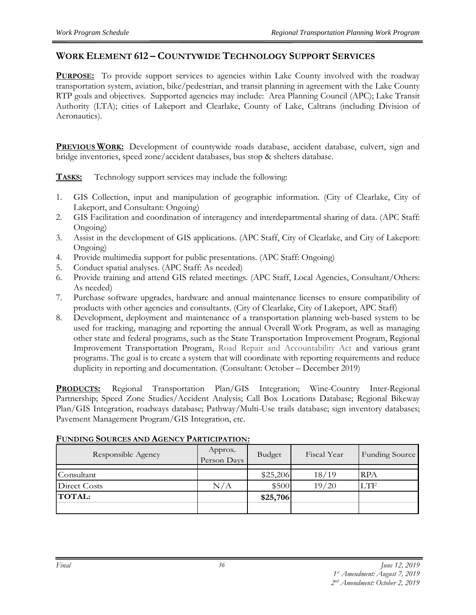## **WORK ELEMENT 612 – COUNTYWIDE TECHNOLOGY SUPPORT SERVICES**

**PURPOSE:** To provide support services to agencies within Lake County involved with the roadway transportation system, aviation, bike/pedestrian, and transit planning in agreement with the Lake County RTP goals and objectives. Supported agencies may include: Area Planning Council (APC); Lake Transit Authority (LTA); cities of Lakeport and Clearlake, County of Lake, Caltrans (including Division of Aeronautics).

**PREVIOUS WORK:** Development of countywide roads database, accident database, culvert, sign and bridge inventories, speed zone/accident databases, bus stop & shelters database.

**TASKS:** Technology support services may include the following:

- 1. GIS Collection, input and manipulation of geographic information. (City of Clearlake, City of Lakeport, and Consultant: Ongoing)
- 2. GIS Facilitation and coordination of interagency and interdepartmental sharing of data. (APC Staff: Ongoing)
- 3. Assist in the development of GIS applications. (APC Staff, City of Clearlake, and City of Lakeport: Ongoing)
- 4. Provide multimedia support for public presentations. (APC Staff: Ongoing)
- 5. Conduct spatial analyses. (APC Staff: As needed)
- 6. Provide training and attend GIS related meetings. (APC Staff, Local Agencies, Consultant/Others: As needed)
- 7. Purchase software upgrades, hardware and annual maintenance licenses to ensure compatibility of products with other agencies and consultants. (City of Clearlake, City of Lakeport, APC Staff)
- 8. Development, deployment and maintenance of a transportation planning web-based system to be used for tracking, managing and reporting the annual Overall Work Program, as well as managing other state and federal programs, such as the State Transportation Improvement Program, Regional Improvement Transportation Program, Road Repair and Accountability Act and various grant programs. The goal is to create a system that will coordinate with reporting requirements and reduce duplicity in reporting and documentation. (Consultant: October – December 2019)

**PRODUCTS:** Regional Transportation Plan/GIS Integration; Wine-Country Inter-Regional Partnership; Speed Zone Studies/Accident Analysis; Call Box Locations Database; Regional Bikeway Plan/GIS Integration, roadways database; Pathway/Multi-Use trails database; sign inventory databases; Pavement Management Program/GIS Integration, etc.

| Responsible Agency | Approx.<br>Person Days | Budget   | Fiscal Year | Funding Source |
|--------------------|------------------------|----------|-------------|----------------|
| Consultant         |                        | \$25,206 | 18/19       | <b>RPA</b>     |
|                    |                        |          |             |                |
| Direct Costs       | N/A                    | \$500    | 19/20       | LTF            |
| <b>TOTAL:</b>      |                        | \$25,706 |             |                |
|                    |                        |          |             |                |

### **FUNDING SOURCES AND AGENCY PARTICIPATION:**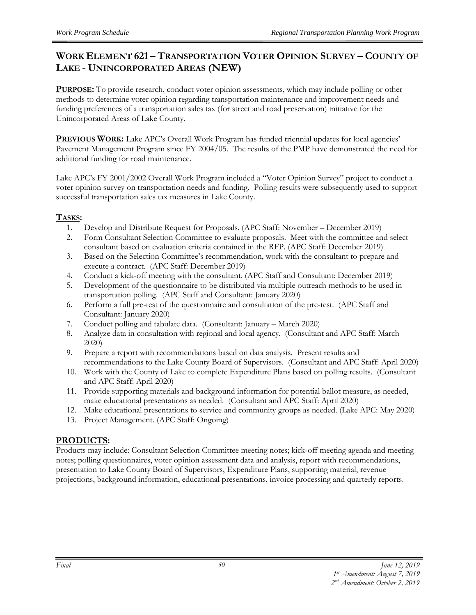# **WORK ELEMENT 621 – TRANSPORTATION VOTER OPINION SURVEY – COUNTY OF LAKE - UNINCORPORATED AREAS (NEW)**

**PURPOSE:** To provide research, conduct voter opinion assessments, which may include polling or other methods to determine voter opinion regarding transportation maintenance and improvement needs and funding preferences of a transportation sales tax (for street and road preservation) initiative for the Unincorporated Areas of Lake County.

**PREVIOUS WORK:** Lake APC's Overall Work Program has funded triennial updates for local agencies' Pavement Management Program since FY 2004/05. The results of the PMP have demonstrated the need for additional funding for road maintenance.

Lake APC's FY 2001/2002 Overall Work Program included a "Voter Opinion Survey" project to conduct a voter opinion survey on transportation needs and funding. Polling results were subsequently used to support successful transportation sales tax measures in Lake County.

## **TASKS:**

- 1. Develop and Distribute Request for Proposals. (APC Staff: November December 2019)
- 2. Form Consultant Selection Committee to evaluate proposals. Meet with the committee and select consultant based on evaluation criteria contained in the RFP. (APC Staff: December 2019)
- 3. Based on the Selection Committee's recommendation, work with the consultant to prepare and execute a contract. (APC Staff: December 2019)
- 4. Conduct a kick-off meeting with the consultant. (APC Staff and Consultant: December 2019)
- 5. Development of the questionnaire to be distributed via multiple outreach methods to be used in transportation polling. (APC Staff and Consultant: January 2020)
- 6. Perform a full pre-test of the questionnaire and consultation of the pre-test. (APC Staff and Consultant: January 2020)
- 7. Conduct polling and tabulate data. (Consultant: January March 2020)
- 8. Analyze data in consultation with regional and local agency. (Consultant and APC Staff: March 2020)
- 9. Prepare a report with recommendations based on data analysis. Present results and recommendations to the Lake County Board of Supervisors. (Consultant and APC Staff: April 2020)
- 10. Work with the County of Lake to complete Expenditure Plans based on polling results. (Consultant and APC Staff: April 2020)
- 11. Provide supporting materials and background information for potential ballot measure, as needed, make educational presentations as needed. (Consultant and APC Staff: April 2020)
- 12. Make educational presentations to service and community groups as needed. (Lake APC: May 2020)
- 13. Project Management. (APC Staff: Ongoing)

# **PRODUCTS:**

Products may include: Consultant Selection Committee meeting notes; kick-off meeting agenda and meeting notes; polling questionnaires, voter opinion assessment data and analysis, report with recommendations, presentation to Lake County Board of Supervisors, Expenditure Plans, supporting material, revenue projections, background information, educational presentations, invoice processing and quarterly reports.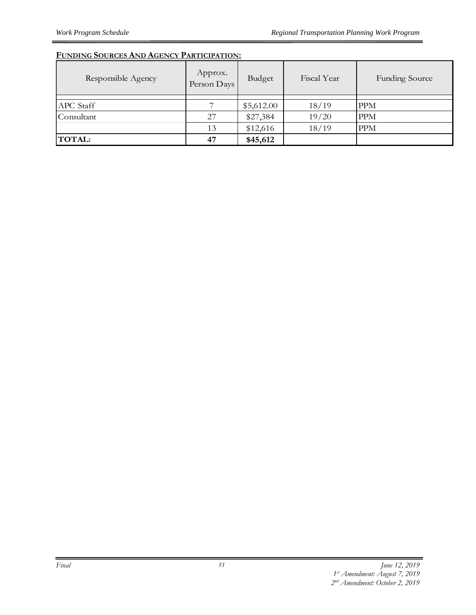## **FUNDING SOURCES AND AGENCY PARTICIPATION:**

| Responsible Agency | Approx.<br>Person Days | Budget     | Fiscal Year | <b>Funding Source</b> |
|--------------------|------------------------|------------|-------------|-----------------------|
| APC Staff          |                        | \$5,612.00 | 18/19       | <b>PPM</b>            |
| Consultant         | 27                     | \$27,384   | 19/20       | <b>PPM</b>            |
|                    | 13                     | \$12,616   | 18/19       | <b>PPM</b>            |
| <b>TOTAL:</b>      | 47                     | \$45,612   |             |                       |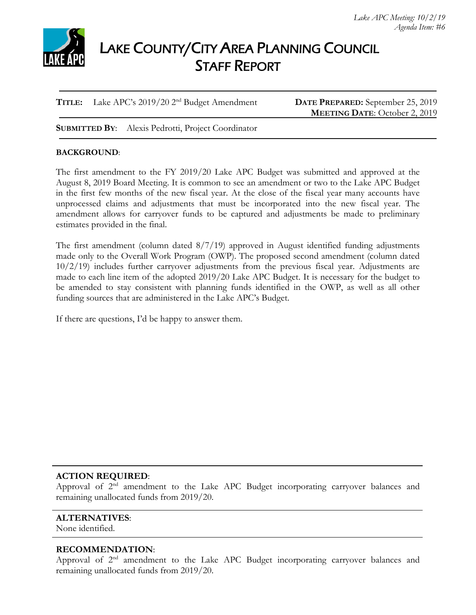

# LAKE COUNTY/CITY AREA PLANNING COUNCIL STAFF REPORT

**TITLE:** Lake APC's 2019/20 2nd Budget Amendment **DATE PREPARED:** September 25, 2019

**MEETING DATE**: October 2, 2019

**SUBMITTED BY**: Alexis Pedrotti, Project Coordinator

## **BACKGROUND**:

The first amendment to the FY 2019/20 Lake APC Budget was submitted and approved at the August 8, 2019 Board Meeting. It is common to see an amendment or two to the Lake APC Budget in the first few months of the new fiscal year. At the close of the fiscal year many accounts have unprocessed claims and adjustments that must be incorporated into the new fiscal year. The amendment allows for carryover funds to be captured and adjustments be made to preliminary estimates provided in the final.

The first amendment (column dated 8/7/19) approved in August identified funding adjustments made only to the Overall Work Program (OWP). The proposed second amendment (column dated 10/2/19) includes further carryover adjustments from the previous fiscal year. Adjustments are made to each line item of the adopted 2019/20 Lake APC Budget. It is necessary for the budget to be amended to stay consistent with planning funds identified in the OWP, as well as all other funding sources that are administered in the Lake APC's Budget.

If there are questions, I'd be happy to answer them.

## **ACTION REQUIRED**:

Approval of  $2<sup>nd</sup>$  amendment to the Lake APC Budget incorporating carryover balances and remaining unallocated funds from 2019/20.

### **ALTERNATIVES**:

None identified.

### **RECOMMENDATION**:

Approval of 2<sup>nd</sup> amendment to the Lake APC Budget incorporating carryover balances and remaining unallocated funds from 2019/20.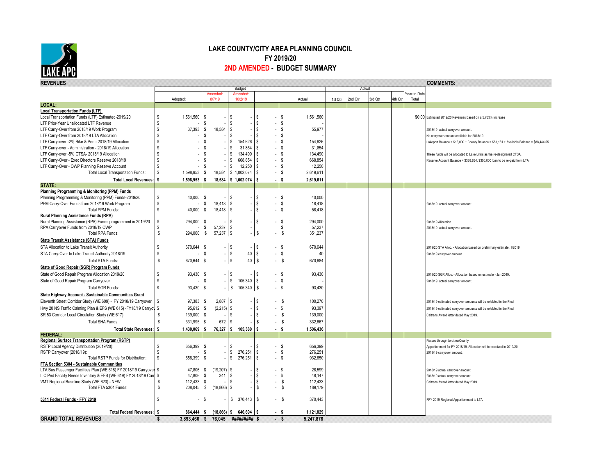

#### **LAKE COUNTY/CITY AREA PLANNING COUNCIL FY 2019/20 2ND AMENDED - BUDGET SUMMARY**

| Budget<br>Actual<br>'ear-to-Date<br>Amended<br>Amended<br>8/7/19<br>10/2/19<br>Actual<br>2nd Otr<br>3rd Otr<br>4th Qtr<br>Adopted:<br>1st Qtr<br>Total<br>LOCAL:<br><b>Local Transportation Funds (LTF)</b><br>Local Transportation Funds (LTF) Estimated-2019/20<br>\$<br>1,561,560<br>s<br>\$<br>1,561,560<br>\$0.00 Estimated 2019/20 Revenues based on a 5.763% increase<br>S.<br>- \$<br>\$<br>l s<br>LTF Prior-Year Unallocated LTF Revenue<br>\$<br>\$<br>\$<br>37,393<br>18.584<br>Ŝ<br>55.977<br>\$<br>$\mathbf{\hat{s}}$<br>LTF Carry-Over from 2018/19 Work Program<br>-S<br>2018/19 actual carryover amount<br>LTF Carry-Over from 2018/19 LTA Allocation<br>\$.<br><b>S</b><br>l s<br>\$<br>S.<br>No carryover amount available for 2018/19.<br>154,626<br>LTF Carry-over -2% Bike & Ped - 2018/19 Allocation<br>s<br>\$<br>l s<br>\$<br>154,626<br>Lakeport Balance = \$15,000 + County Balance = \$51,181 + Available Balance = \$88,444.55<br>31.854<br>\$<br>Ŝ<br>$\mathbb{S}$<br>31,854<br>LTF Carry-over - Administration - 2018/19 Allocation<br>١s<br>\$<br>134,490<br>LTF Carry-over -5% CTSA- 2018/19 Allocation<br>\$.<br>s<br>l s<br>- IS<br>134,490<br>These funds will be allocated to Lake Links as the re-designated CTSA.<br>s.<br>668.854<br>668.854<br>\$.<br>ŗ.<br>- \$<br>LTF Carry-Over - Exec Directors Reserve 2018/19<br>Reserve Account Balance = \$368,854. \$300,000 loan to be re-paid from LTA.<br>S<br>12,250<br>12,250<br>LTF Carry-Over - OWP Planning Reserve Account<br>\$.<br>-S<br>- \$<br>s<br>1,598,953<br>s<br>18,584<br>\$1,002,074<br>- IS<br>2,619,611<br><b>Total Local Transportation Funds:</b><br>-S |  |
|------------------------------------------------------------------------------------------------------------------------------------------------------------------------------------------------------------------------------------------------------------------------------------------------------------------------------------------------------------------------------------------------------------------------------------------------------------------------------------------------------------------------------------------------------------------------------------------------------------------------------------------------------------------------------------------------------------------------------------------------------------------------------------------------------------------------------------------------------------------------------------------------------------------------------------------------------------------------------------------------------------------------------------------------------------------------------------------------------------------------------------------------------------------------------------------------------------------------------------------------------------------------------------------------------------------------------------------------------------------------------------------------------------------------------------------------------------------------------------------------------------------------------------------------------------------------------------------------------------------------------------------------------------------|--|
|                                                                                                                                                                                                                                                                                                                                                                                                                                                                                                                                                                                                                                                                                                                                                                                                                                                                                                                                                                                                                                                                                                                                                                                                                                                                                                                                                                                                                                                                                                                                                                                                                                                                  |  |
|                                                                                                                                                                                                                                                                                                                                                                                                                                                                                                                                                                                                                                                                                                                                                                                                                                                                                                                                                                                                                                                                                                                                                                                                                                                                                                                                                                                                                                                                                                                                                                                                                                                                  |  |
|                                                                                                                                                                                                                                                                                                                                                                                                                                                                                                                                                                                                                                                                                                                                                                                                                                                                                                                                                                                                                                                                                                                                                                                                                                                                                                                                                                                                                                                                                                                                                                                                                                                                  |  |
|                                                                                                                                                                                                                                                                                                                                                                                                                                                                                                                                                                                                                                                                                                                                                                                                                                                                                                                                                                                                                                                                                                                                                                                                                                                                                                                                                                                                                                                                                                                                                                                                                                                                  |  |
|                                                                                                                                                                                                                                                                                                                                                                                                                                                                                                                                                                                                                                                                                                                                                                                                                                                                                                                                                                                                                                                                                                                                                                                                                                                                                                                                                                                                                                                                                                                                                                                                                                                                  |  |
|                                                                                                                                                                                                                                                                                                                                                                                                                                                                                                                                                                                                                                                                                                                                                                                                                                                                                                                                                                                                                                                                                                                                                                                                                                                                                                                                                                                                                                                                                                                                                                                                                                                                  |  |
|                                                                                                                                                                                                                                                                                                                                                                                                                                                                                                                                                                                                                                                                                                                                                                                                                                                                                                                                                                                                                                                                                                                                                                                                                                                                                                                                                                                                                                                                                                                                                                                                                                                                  |  |
|                                                                                                                                                                                                                                                                                                                                                                                                                                                                                                                                                                                                                                                                                                                                                                                                                                                                                                                                                                                                                                                                                                                                                                                                                                                                                                                                                                                                                                                                                                                                                                                                                                                                  |  |
|                                                                                                                                                                                                                                                                                                                                                                                                                                                                                                                                                                                                                                                                                                                                                                                                                                                                                                                                                                                                                                                                                                                                                                                                                                                                                                                                                                                                                                                                                                                                                                                                                                                                  |  |
|                                                                                                                                                                                                                                                                                                                                                                                                                                                                                                                                                                                                                                                                                                                                                                                                                                                                                                                                                                                                                                                                                                                                                                                                                                                                                                                                                                                                                                                                                                                                                                                                                                                                  |  |
|                                                                                                                                                                                                                                                                                                                                                                                                                                                                                                                                                                                                                                                                                                                                                                                                                                                                                                                                                                                                                                                                                                                                                                                                                                                                                                                                                                                                                                                                                                                                                                                                                                                                  |  |
|                                                                                                                                                                                                                                                                                                                                                                                                                                                                                                                                                                                                                                                                                                                                                                                                                                                                                                                                                                                                                                                                                                                                                                                                                                                                                                                                                                                                                                                                                                                                                                                                                                                                  |  |
|                                                                                                                                                                                                                                                                                                                                                                                                                                                                                                                                                                                                                                                                                                                                                                                                                                                                                                                                                                                                                                                                                                                                                                                                                                                                                                                                                                                                                                                                                                                                                                                                                                                                  |  |
|                                                                                                                                                                                                                                                                                                                                                                                                                                                                                                                                                                                                                                                                                                                                                                                                                                                                                                                                                                                                                                                                                                                                                                                                                                                                                                                                                                                                                                                                                                                                                                                                                                                                  |  |
| <b>Total Local Revenues:</b><br>1,598,953<br>18,584<br>2,619,611<br>s.<br>\$1,002,074<br>s.                                                                                                                                                                                                                                                                                                                                                                                                                                                                                                                                                                                                                                                                                                                                                                                                                                                                                                                                                                                                                                                                                                                                                                                                                                                                                                                                                                                                                                                                                                                                                                      |  |
| STATE:                                                                                                                                                                                                                                                                                                                                                                                                                                                                                                                                                                                                                                                                                                                                                                                                                                                                                                                                                                                                                                                                                                                                                                                                                                                                                                                                                                                                                                                                                                                                                                                                                                                           |  |
| Planning Programming & Monitoring (PPM) Funds                                                                                                                                                                                                                                                                                                                                                                                                                                                                                                                                                                                                                                                                                                                                                                                                                                                                                                                                                                                                                                                                                                                                                                                                                                                                                                                                                                                                                                                                                                                                                                                                                    |  |
| Planning Programming & Monitoring (PPM) Funds-2019/20<br>S<br>40,000<br>40,000<br><b>S</b><br>Ŝ<br>l s<br>£.                                                                                                                                                                                                                                                                                                                                                                                                                                                                                                                                                                                                                                                                                                                                                                                                                                                                                                                                                                                                                                                                                                                                                                                                                                                                                                                                                                                                                                                                                                                                                     |  |
| Ŝ<br>\$<br>\$<br>l s<br>18,418<br>PPM Carry-Over Funds from 2018/19 Work Program<br>18,418<br>\$<br>2018/19 actual carryover amount                                                                                                                                                                                                                                                                                                                                                                                                                                                                                                                                                                                                                                                                                                                                                                                                                                                                                                                                                                                                                                                                                                                                                                                                                                                                                                                                                                                                                                                                                                                              |  |
| 40,000<br>\$<br>l s<br><b>Total PPM Funds:</b><br>\$.<br>18,418<br>s.<br>58,418<br>-S                                                                                                                                                                                                                                                                                                                                                                                                                                                                                                                                                                                                                                                                                                                                                                                                                                                                                                                                                                                                                                                                                                                                                                                                                                                                                                                                                                                                                                                                                                                                                                            |  |
| Rural Planning Assistance Funds (RPA)                                                                                                                                                                                                                                                                                                                                                                                                                                                                                                                                                                                                                                                                                                                                                                                                                                                                                                                                                                                                                                                                                                                                                                                                                                                                                                                                                                                                                                                                                                                                                                                                                            |  |
| Rural Planning Assistance (RPA) Funds programmed in 2019/20<br>\$<br>S<br>$\sqrt{ }$<br>294,000<br>\$<br>294,000<br>S.<br>2018/19 Allocation                                                                                                                                                                                                                                                                                                                                                                                                                                                                                                                                                                                                                                                                                                                                                                                                                                                                                                                                                                                                                                                                                                                                                                                                                                                                                                                                                                                                                                                                                                                     |  |
| \$<br>l s<br>57,237<br>RPA Carryover Funds from 2018/19 OWP<br>\$<br>57,237<br>\$<br>2018/19 actual carryover amount<br>$$\mathbb{S}$$<br>Total RPA Funds:<br>l s<br>$\sqrt{s}$                                                                                                                                                                                                                                                                                                                                                                                                                                                                                                                                                                                                                                                                                                                                                                                                                                                                                                                                                                                                                                                                                                                                                                                                                                                                                                                                                                                                                                                                                  |  |
| 294,000<br>\$<br>57,237<br>\$<br>351,237                                                                                                                                                                                                                                                                                                                                                                                                                                                                                                                                                                                                                                                                                                                                                                                                                                                                                                                                                                                                                                                                                                                                                                                                                                                                                                                                                                                                                                                                                                                                                                                                                         |  |
| <b>State Transit Assistance (STA) Funds</b>                                                                                                                                                                                                                                                                                                                                                                                                                                                                                                                                                                                                                                                                                                                                                                                                                                                                                                                                                                                                                                                                                                                                                                                                                                                                                                                                                                                                                                                                                                                                                                                                                      |  |
| \$<br>670,644<br>\$<br>l s<br>$-$ \$<br>\$<br>670,644<br>STA Allocation to Lake Transit Authority<br>$\sim$<br>2019/20 STA Alloc. - Allocation based on preliminary estimate. 1/2019                                                                                                                                                                                                                                                                                                                                                                                                                                                                                                                                                                                                                                                                                                                                                                                                                                                                                                                                                                                                                                                                                                                                                                                                                                                                                                                                                                                                                                                                             |  |
| $ \sqrt{s}$<br>$40 \mid$ \$<br>s<br>$-1$ \$<br>STA Carry-Over to Lake Transit Authority 2018/19<br>s<br>40<br>2018/19 carryover amount.                                                                                                                                                                                                                                                                                                                                                                                                                                                                                                                                                                                                                                                                                                                                                                                                                                                                                                                                                                                                                                                                                                                                                                                                                                                                                                                                                                                                                                                                                                                          |  |
| $-1$ \$<br>$\mathbb S$<br>$40$ $\sqrt{5}$<br>670,644 \$<br>S.<br>Total STA Funds:<br>670,684<br>$\blacksquare$                                                                                                                                                                                                                                                                                                                                                                                                                                                                                                                                                                                                                                                                                                                                                                                                                                                                                                                                                                                                                                                                                                                                                                                                                                                                                                                                                                                                                                                                                                                                                   |  |
| State of Good Repair (SGR) Program Funds                                                                                                                                                                                                                                                                                                                                                                                                                                                                                                                                                                                                                                                                                                                                                                                                                                                                                                                                                                                                                                                                                                                                                                                                                                                                                                                                                                                                                                                                                                                                                                                                                         |  |
| 93,430<br>$-1$ \$<br>State of Good Repair Program Allocation 2019/20<br>l s<br>$-1$ \$<br>93,430<br>l s<br>2019/20 SGR Alloc. - Allocation based on estimate - Jan 2019.                                                                                                                                                                                                                                                                                                                                                                                                                                                                                                                                                                                                                                                                                                                                                                                                                                                                                                                                                                                                                                                                                                                                                                                                                                                                                                                                                                                                                                                                                         |  |
| $-$ \$<br>s<br>$105,340$ \$<br>$-1$ \$<br>State of Good Repair Program Carryover<br>\$.<br>2018/19 actual carryover amount                                                                                                                                                                                                                                                                                                                                                                                                                                                                                                                                                                                                                                                                                                                                                                                                                                                                                                                                                                                                                                                                                                                                                                                                                                                                                                                                                                                                                                                                                                                                       |  |
| $93,430$ \$<br>$-$ \$<br>$105,340$ \$<br><b>Total SGR Funds:</b><br>\$<br>$ \sqrt{s}$<br>93,430                                                                                                                                                                                                                                                                                                                                                                                                                                                                                                                                                                                                                                                                                                                                                                                                                                                                                                                                                                                                                                                                                                                                                                                                                                                                                                                                                                                                                                                                                                                                                                  |  |
| State Highway Account - Sustainable Communities Grant                                                                                                                                                                                                                                                                                                                                                                                                                                                                                                                                                                                                                                                                                                                                                                                                                                                                                                                                                                                                                                                                                                                                                                                                                                                                                                                                                                                                                                                                                                                                                                                                            |  |
| 2,887<br>97,383<br>l s<br><sup>\$</sup><br>100,270<br>Eleventh Street Corridor Study (WE 609) - FY 2018/19 Carryover<br>S,<br>l \$<br>2018/19 estimated carryover amounts will be refelcted in the Final                                                                                                                                                                                                                                                                                                                                                                                                                                                                                                                                                                                                                                                                                                                                                                                                                                                                                                                                                                                                                                                                                                                                                                                                                                                                                                                                                                                                                                                         |  |
| $95,612$ \$<br>$(2,215)$ \$<br>l s<br>Hwy 20 NS Traffic Calming Plan & EFS (WE 615) -FY18/19 Carryov \$<br>Ŝ.<br>93,397<br>2018/19 estimated carryover amounts will be refelcted in the Final                                                                                                                                                                                                                                                                                                                                                                                                                                                                                                                                                                                                                                                                                                                                                                                                                                                                                                                                                                                                                                                                                                                                                                                                                                                                                                                                                                                                                                                                    |  |
| \$<br>SR 53 Corridor Local Circulation Study (WE 617)<br>\$<br>139,000<br>\$<br>l s<br>\$<br>139,000<br>Caltrans Award letter dated May 2019.                                                                                                                                                                                                                                                                                                                                                                                                                                                                                                                                                                                                                                                                                                                                                                                                                                                                                                                                                                                                                                                                                                                                                                                                                                                                                                                                                                                                                                                                                                                    |  |
| Total SHA Funds:<br>\$<br>331,995<br>672<br>\$<br>\$<br>332,667<br>\$<br>\$                                                                                                                                                                                                                                                                                                                                                                                                                                                                                                                                                                                                                                                                                                                                                                                                                                                                                                                                                                                                                                                                                                                                                                                                                                                                                                                                                                                                                                                                                                                                                                                      |  |
| 1,430,069<br>76,327<br>105,380<br><b>s</b><br>1,506,436<br><b>Total State Revenues:</b><br>ŝ<br>ŝ<br>s                                                                                                                                                                                                                                                                                                                                                                                                                                                                                                                                                                                                                                                                                                                                                                                                                                                                                                                                                                                                                                                                                                                                                                                                                                                                                                                                                                                                                                                                                                                                                           |  |
| <b>FEDERAL:</b>                                                                                                                                                                                                                                                                                                                                                                                                                                                                                                                                                                                                                                                                                                                                                                                                                                                                                                                                                                                                                                                                                                                                                                                                                                                                                                                                                                                                                                                                                                                                                                                                                                                  |  |
| Regional Surface Transportation Program (RSTP)<br>Passes through to cities/County                                                                                                                                                                                                                                                                                                                                                                                                                                                                                                                                                                                                                                                                                                                                                                                                                                                                                                                                                                                                                                                                                                                                                                                                                                                                                                                                                                                                                                                                                                                                                                                |  |
| RSTP Local Agency Distribution (2019/20):<br>\$.<br>656,399<br>S,<br>S,<br>\$<br>656.399<br>l \$<br>Apportionment for FY 2018/19. Allocation will be received in 2019/20                                                                                                                                                                                                                                                                                                                                                                                                                                                                                                                                                                                                                                                                                                                                                                                                                                                                                                                                                                                                                                                                                                                                                                                                                                                                                                                                                                                                                                                                                         |  |
| \$<br>276,251<br>l \$<br>RSTP Carryover (2018/19):<br>s<br>\$<br>276,251<br>2018/19 carryover amount.                                                                                                                                                                                                                                                                                                                                                                                                                                                                                                                                                                                                                                                                                                                                                                                                                                                                                                                                                                                                                                                                                                                                                                                                                                                                                                                                                                                                                                                                                                                                                            |  |
| l s<br>276,251<br>Total RSTP Funds for Distribution:<br>\$<br>656,399<br>S.<br>l s<br>\$<br>932,650                                                                                                                                                                                                                                                                                                                                                                                                                                                                                                                                                                                                                                                                                                                                                                                                                                                                                                                                                                                                                                                                                                                                                                                                                                                                                                                                                                                                                                                                                                                                                              |  |
| FTA Section 5304 - Sustainable Communities                                                                                                                                                                                                                                                                                                                                                                                                                                                                                                                                                                                                                                                                                                                                                                                                                                                                                                                                                                                                                                                                                                                                                                                                                                                                                                                                                                                                                                                                                                                                                                                                                       |  |
| LTA Bus Passenger Facilities Plan (WE 618) FY 2018/19 Carryover \$<br>47,806<br>(19,207)<br>l \$<br>28,599<br>\$<br>s.<br>l \$<br>2018/19 actual carryover amount.                                                                                                                                                                                                                                                                                                                                                                                                                                                                                                                                                                                                                                                                                                                                                                                                                                                                                                                                                                                                                                                                                                                                                                                                                                                                                                                                                                                                                                                                                               |  |
| \$<br>47,806<br><b>S</b><br>341<br>l s<br>48.147<br>L.C Ped Facility Needs Inventory & EFS (WE 619) FY 2018/19 Carr \$<br>Ŝ.<br>2018/19 actual carryover amount.                                                                                                                                                                                                                                                                                                                                                                                                                                                                                                                                                                                                                                                                                                                                                                                                                                                                                                                                                                                                                                                                                                                                                                                                                                                                                                                                                                                                                                                                                                 |  |
| VMT Regional Baseline Study (WE 620) - NEW<br>112,433<br><sup>\$</sup><br>\$<br>l s<br>112,433<br>\$<br>s.<br>Caltrans Award letter dated May 2019.                                                                                                                                                                                                                                                                                                                                                                                                                                                                                                                                                                                                                                                                                                                                                                                                                                                                                                                                                                                                                                                                                                                                                                                                                                                                                                                                                                                                                                                                                                              |  |
| $(18,866)$ \$<br>Total FTA 5304 Funds:<br>\$<br>208,045<br>\$<br>-S<br>189,179<br>S.                                                                                                                                                                                                                                                                                                                                                                                                                                                                                                                                                                                                                                                                                                                                                                                                                                                                                                                                                                                                                                                                                                                                                                                                                                                                                                                                                                                                                                                                                                                                                                             |  |
| Ŝ<br>\$370,443<br>5311 Federal Funds - FFY 2019<br>s<br>\$<br>370,443                                                                                                                                                                                                                                                                                                                                                                                                                                                                                                                                                                                                                                                                                                                                                                                                                                                                                                                                                                                                                                                                                                                                                                                                                                                                                                                                                                                                                                                                                                                                                                                            |  |
| FFY 2019-Regional Apportionment to LTA                                                                                                                                                                                                                                                                                                                                                                                                                                                                                                                                                                                                                                                                                                                                                                                                                                                                                                                                                                                                                                                                                                                                                                                                                                                                                                                                                                                                                                                                                                                                                                                                                           |  |
| $(18,866)$ \$ 646,694 \$<br>1,121,829<br>Total Federal Revenues: \$<br>864,444<br>l s<br>- IS                                                                                                                                                                                                                                                                                                                                                                                                                                                                                                                                                                                                                                                                                                                                                                                                                                                                                                                                                                                                                                                                                                                                                                                                                                                                                                                                                                                                                                                                                                                                                                    |  |
| <b>GRAND TOTAL REVENUES</b><br><b>#########</b> \$<br>- 8<br>5,247,876<br>3,893,466 \$<br>76,045<br>÷.                                                                                                                                                                                                                                                                                                                                                                                                                                                                                                                                                                                                                                                                                                                                                                                                                                                                                                                                                                                                                                                                                                                                                                                                                                                                                                                                                                                                                                                                                                                                                           |  |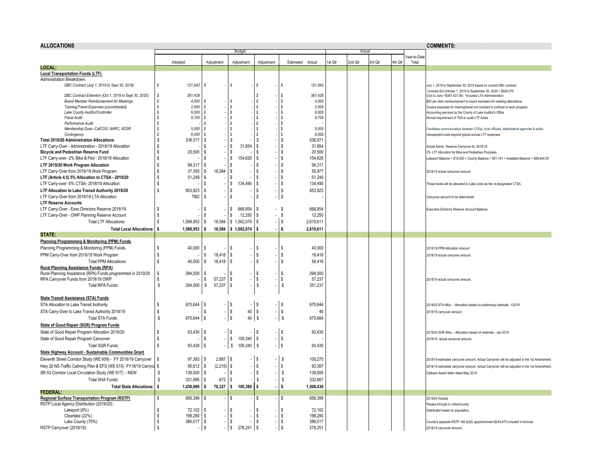| <b>ALLOCATIONS</b>                                                                        |                                   |                               |                               |                     |                                            |         |         |         |         |                      | <b>COMMENTS:</b>                                                                                                                           |  |  |  |
|-------------------------------------------------------------------------------------------|-----------------------------------|-------------------------------|-------------------------------|---------------------|--------------------------------------------|---------|---------|---------|---------|----------------------|--------------------------------------------------------------------------------------------------------------------------------------------|--|--|--|
|                                                                                           |                                   |                               | Budget                        |                     |                                            |         | Actual  |         |         |                      |                                                                                                                                            |  |  |  |
|                                                                                           | Adopted:                          | Adjustment                    | Adjustment                    | Adjustment          | Estimated<br>Actual                        | 1st Qtr | 2nd Qtr | 3rd Qtr | 4th Qtr | ear-to-Date<br>Total |                                                                                                                                            |  |  |  |
| LOCAL:                                                                                    |                                   |                               |                               |                     |                                            |         |         |         |         |                      |                                                                                                                                            |  |  |  |
| <b>Local Transportation Funds (LTF)</b>                                                   |                                   |                               |                               |                     |                                            |         |         |         |         |                      |                                                                                                                                            |  |  |  |
| Administration Breakdown:                                                                 |                                   |                               |                               |                     |                                            |         |         |         |         |                      |                                                                                                                                            |  |  |  |
| DBC Contract (July 1, 2019 to Sept 30, 2019)                                              | \$<br>121,943                     | s                             | s                             | s                   | 121,943<br>l S                             |         |         |         |         |                      | July 1, 2019 to September 30, 2019 based on current DBC contract.<br>Contract Ext October 1, 2019 to September 30, 2020 = \$508,570        |  |  |  |
| DBC Contract Extention (Oct 1, 2019 to Sept 30, 2020)                                     | 381,428<br>s                      |                               |                               | s                   | 381,428<br>1\$                             |         |         |         |         |                      | (Oct to June = \$381,427.56) *Includes LTA Administration                                                                                  |  |  |  |
| <b>Board Member Reimbursement for Meetings</b><br>Training/Travel Expenses (uncontracted) | 4,000<br>s<br>2,500<br>\$.        | <sub>S</sub><br><b>s</b>      | Ŝ<br>s                        | <sub>S</sub><br>l s | $\sqrt{ }$<br>4,000<br>-   \$<br>2.500     |         |         |         |         |                      | \$50 per diem reimbursement to board members for meeting attendance                                                                        |  |  |  |
| Lake County Auditor/Controller                                                            | 6,000<br>s                        | <b>s</b>                      | s                             | l s                 | 6,000<br>$\frac{1}{3}$                     |         |         |         |         |                      | Covers expenses for training/travel not included in contract or work program<br>Accounting services by the County of Lake Auditor's Office |  |  |  |
| <b>Fiscal Audit</b>                                                                       | 9,700<br>s                        | <sub>S</sub>                  |                               | l s                 | <b>S</b><br>9,700                          |         |         |         |         |                      | Annual requirement of TDA to audit LTF funds                                                                                               |  |  |  |
| Performance Audit                                                                         | \$.                               | ŝ                             | Ŝ                             | -S                  | $\sqrt{ }$                                 |         |         |         |         |                      |                                                                                                                                            |  |  |  |
| Membership Dues -CalCOG, NARC, NSSR                                                       | 5,000<br>\$.                      | <b>s</b>                      | s                             | -8                  | $\sqrt{5}$<br>5.000                        |         |         |         |         |                      | Facilitates communication between COGs, local officials, state/federal agencies & public                                                   |  |  |  |
| Contingency                                                                               | 6,000<br>\$.                      | <sub>S</sub>                  | s                             | -8                  | $\sqrt{ }$<br>6,000                        |         |         |         |         |                      | Unexpected costs beyond typical annual LTF expenses                                                                                        |  |  |  |
| <b>Total 2019/20 Administration Allocations</b>                                           | 536,571<br>s                      | <b>s</b>                      | \$                            | S                   | 536,571<br>l \$                            |         |         |         |         |                      |                                                                                                                                            |  |  |  |
| LTF Carry-Over - Administration - 2018/19 Allocation                                      | \$                                | Ŝ.                            | \$<br>31,854                  | S                   | <b>S</b><br>31,854                         |         |         |         |         |                      | Actual Admin. Reserve Carryover for 2018/19.                                                                                               |  |  |  |
| <b>Bicycle and Pedestrian Reserve Fund</b>                                                | 20,500<br>£.                      | $\mathbf{\hat{s}}$            | s                             | ŝ.                  | l \$<br>20,500                             |         |         |         |         |                      | 2% LTF Allocation for Bike and Pedestrian Purposes                                                                                         |  |  |  |
| LTF Carry-over -2% Bike & Ped - 2018/19 Allocation                                        | \$                                | S.                            | 154,626<br>\$                 | l s                 | l \$<br>154,626                            |         |         |         |         |                      | Lakeport Balance = \$15,000 + County Balance = \$51,181 + Available Balance = \$88,444.55                                                  |  |  |  |
| LTF 2019/20 Work Program Allocation                                                       | £.<br>99.317                      | <b>S</b>                      | Ŝ                             | -S                  | l \$<br>99.317                             |         |         |         |         |                      |                                                                                                                                            |  |  |  |
| LTF Carry-Over from 2018/19 Work Program                                                  | 37,393<br>\$                      | 18,584<br>\$                  | \$                            | \$                  | l \$<br>55,977                             |         |         |         |         |                      | 2018/19 actual carryover amount.                                                                                                           |  |  |  |
| LTF (Article 4.5) 5% Allocation to CTSA - 2019/20                                         | \$<br>51,249                      | s                             | \$                            | <b>S</b>            | l s<br>51,249                              |         |         |         |         |                      |                                                                                                                                            |  |  |  |
| LTF Carry-over -5% CTSA- 2018/19 Allocation                                               | \$                                | s                             | 134,490<br>\$                 | l s                 | - 1 \$<br>134,490                          |         |         |         |         |                      | These funds will be allocated to Lake Links as the re-designated CTSA                                                                      |  |  |  |
| LTF Allocation to Lake Transit Authority 2019/20                                          | \$<br>853,923                     | s                             | \$                            | l s                 | 853,923<br>- I \$                          |         |         |         |         |                      |                                                                                                                                            |  |  |  |
| LTF Carry-Over from 2018/19 LTA Allocation                                                | TBD                               | <b>S</b>                      | S.                            | ۱s                  | -   \$                                     |         |         |         |         |                      | Carryover amount to be determined                                                                                                          |  |  |  |
| <b>LTF Reserve Accounts</b>                                                               |                                   |                               |                               |                     |                                            |         |         |         |         |                      |                                                                                                                                            |  |  |  |
| LTF Carry-Over - Exec Directors Reserve 2018/19                                           | \$                                | S                             | \$<br>668,854                 | l S                 | $-$ \$<br>668,854                          |         |         |         |         |                      | Executive Directors Reserve Account Balance                                                                                                |  |  |  |
| LTF Carry-Over - OWP Planning Reserve Account                                             | s                                 | <b>S</b>                      | \$<br>12,250                  | l S                 | $-$ \$<br>12,250                           |         |         |         |         |                      |                                                                                                                                            |  |  |  |
| <b>Total LTF Allocations:</b>                                                             | \$<br>1,598,953                   | s.<br>18.584                  | \$1,002,074                   | <b>S</b>            | - I s<br>2,619,611                         |         |         |         |         |                      |                                                                                                                                            |  |  |  |
| <b>Total Local Allocations:</b>                                                           | 1,598,953<br>ŝ                    | 18,584<br>ŝ                   | \$1,002,074                   | ۱s                  | 2,619,611<br>l s                           |         |         |         |         |                      |                                                                                                                                            |  |  |  |
| STATE:                                                                                    |                                   |                               |                               |                     |                                            |         |         |         |         |                      |                                                                                                                                            |  |  |  |
| Planning Programming & Monitoring (PPM) Funds                                             |                                   |                               |                               |                     |                                            |         |         |         |         |                      |                                                                                                                                            |  |  |  |
| Planning Programming & Monitoring (PPM) Funds                                             | s.<br>40,000                      | -S                            | \$                            | S                   | l \$<br>40,000                             |         |         |         |         |                      | 2018/19 PPM Allocation Amount                                                                                                              |  |  |  |
| PPM Carry-Over from 2018/19 Work Program                                                  | \$                                | \$<br>18.418                  | <b>S</b>                      | l \$                | l \$<br>18,418                             |         |         |         |         |                      | 2018/19 actual carryover amount                                                                                                            |  |  |  |
| <b>Total PPM Allocations:</b>                                                             | \$<br>40,000                      | \$<br>18,418                  | <b>S</b>                      | l s                 | 58,418<br>l \$                             |         |         |         |         |                      |                                                                                                                                            |  |  |  |
| <b>Rural Planning Assistance Funds (RPA)</b>                                              |                                   |                               |                               |                     |                                            |         |         |         |         |                      |                                                                                                                                            |  |  |  |
| Rural Planning Assistance (RPA) Funds programmed in 2019/20                               | \$<br>294,000                     | -S                            | \$                            | l \$                | 294,000<br>1\$                             |         |         |         |         |                      |                                                                                                                                            |  |  |  |
| RPA Carryover Funds from 2018/19 OWP                                                      | Ŝ.                                | s.<br>57,237                  | \$                            | l \$<br>S.          | l \$<br>57,237                             |         |         |         |         |                      | 2018/19 actual carryover amount                                                                                                            |  |  |  |
| Total RPA Funds:                                                                          | 294,000<br>\$                     | 57,237<br>\$                  | \$                            |                     | - \$<br>351,237                            |         |         |         |         |                      |                                                                                                                                            |  |  |  |
| <b>State Transit Assistance (STA) Funds</b>                                               |                                   |                               |                               |                     |                                            |         |         |         |         |                      |                                                                                                                                            |  |  |  |
| STA Allocation to Lake Transit Authority                                                  | s<br>670,644                      | $\sqrt{3}$                    | l S<br>÷,                     | l \$                | $-1$ \$<br>670,644                         |         |         |         |         |                      | 2019/20 STA Alloc. - Allocation based on preliminary estimate. 1/2019                                                                      |  |  |  |
| STA Carry-Over to Lake Transit Authority 2018/19                                          | \$                                | <sup>\$</sup>                 | $-$ \$<br>40                  | l \$                | -   \$<br>40                               |         |         |         |         |                      | 2018/19 carryover amount.                                                                                                                  |  |  |  |
| Total STA Funds:                                                                          | $$\mathbb{S}$$<br>670,644         | l s                           | . Is<br>40                    | l s                 | $ \sqrt{ }$<br>670,684                     |         |         |         |         |                      |                                                                                                                                            |  |  |  |
|                                                                                           |                                   |                               |                               |                     |                                            |         |         |         |         |                      |                                                                                                                                            |  |  |  |
| State of Good Repair (SGR) Program Funds                                                  |                                   |                               |                               |                     |                                            |         |         |         |         |                      |                                                                                                                                            |  |  |  |
| State of Good Repair Program Allocation 2019/20                                           | $93,430$ \$<br>\$                 |                               | $ \sqrt{s}$                   | l s                 | $-$ \$<br>93,430                           |         |         |         |         |                      | 2019/20 SGR Alloc. - Allocation based on estimate - Jan 2019.                                                                              |  |  |  |
| State of Good Repair Program Carryover                                                    | \$                                | s                             | $ \sqrt{s}$<br>$105,340$ \ \$ |                     | $-$ \$                                     |         |         |         |         |                      | 2018/19 actual carryover amount.                                                                                                           |  |  |  |
| Total SGR Funds:                                                                          | $\mathbf{\hat{S}}$<br>$93,430$ \$ |                               | $105,340$ \$<br>$-$ \$        |                     | -   \$<br>93,430                           |         |         |         |         |                      |                                                                                                                                            |  |  |  |
| State Highway Account - Sustainable Communities Grant                                     |                                   |                               |                               |                     |                                            |         |         |         |         |                      |                                                                                                                                            |  |  |  |
| Eleventh Street Corridor Study (WE 609) - FY 2018/19 Carryover                            | $97,383$ \$<br>s.                 | $2,887$ \$                    |                               | l s                 | - \$<br>100,270                            |         |         |         |         |                      | 2018/19 estimated carryover amount. Actual Carryover will be adjusted in the 1st Amendment.                                                |  |  |  |
| Hwy 20 NS Traffic Calming Plan & EFS (WE 615) -FY18/19 Carryov \$                         | 95,612                            | $(2,215)$ \$<br>$\mathsf{\$}$ |                               | l \$                | - I \$<br>93,397                           |         |         |         |         |                      | 2018/19 estimated carryover amount. Actual Carryover will be adjusted in the 1st Amendment.                                                |  |  |  |
| SR 53 Corridor Local Circulation Study (WE 617) - NEW                                     | \$<br>139,000                     | <b>S</b>                      | Ŝ                             | ۱s                  | -S<br>139,000                              |         |         |         |         |                      | Caltrans Award letter dated May 2019.                                                                                                      |  |  |  |
| Total SHA Funds:                                                                          | 331,995<br>£.                     | 672<br>s                      | \$                            | <b>S</b>            | \$<br>332,667                              |         |         |         |         |                      |                                                                                                                                            |  |  |  |
| Total State Allocations: \$                                                               | 1,430,069                         | 76,327<br>\$                  | 105,380<br>\$                 | l S                 | 1,506,436                                  |         |         |         |         |                      |                                                                                                                                            |  |  |  |
| <b>FEDERAL:</b>                                                                           |                                   |                               |                               |                     |                                            |         |         |         |         |                      |                                                                                                                                            |  |  |  |
| <b>Regional Surface Transportation Program (RSTP)</b>                                     | s.<br>656,399                     | $\mathsf{\$}$                 | Ŝ                             | s.                  | 656,399<br>1 S                             |         |         |         |         |                      | 2019/20 Actuals                                                                                                                            |  |  |  |
| RSTP Local Agency Distribution (2019/20):                                                 |                                   |                               |                               |                     |                                            |         |         |         |         |                      | Passes through to cities/County                                                                                                            |  |  |  |
| Lakeport (8%)                                                                             | £.<br>72,102                      | <b>S</b>                      | <b>S</b>                      | -S                  | 72,102<br>1 S                              |         |         |         |         |                      | Distributed based on population.                                                                                                           |  |  |  |
| Clearlake (22%)<br>Lake County (70%)                                                      | 198,280<br>\$<br>386,017          | s<br>$\sqrt{3}$               | S<br>\$                       | \$<br>  \$          | 198,280<br><b>S</b><br>386,017<br><b>S</b> |         |         |         |         |                      |                                                                                                                                            |  |  |  |
| RSTP Carryover (2018/19):                                                                 | s.                                | <b>S</b>                      | $ \sqrt{S}$<br>276,251        | l s                 | - IS<br>276,251                            |         |         |         |         |                      | County's separate RSTP 182.6(d2) apportionment-\$244,873 included in formula<br>2018/19 carryover amount.                                  |  |  |  |
|                                                                                           |                                   |                               |                               |                     |                                            |         |         |         |         |                      |                                                                                                                                            |  |  |  |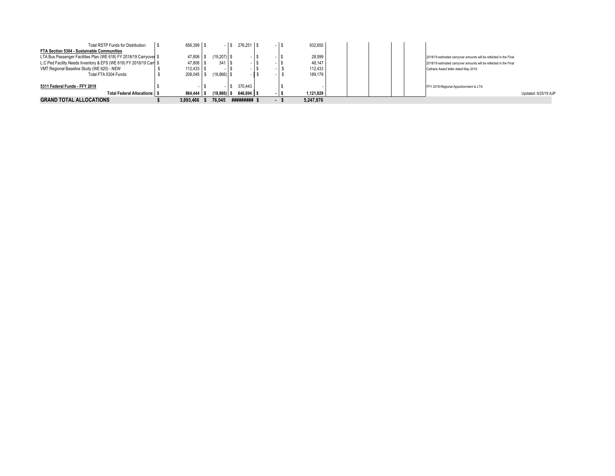| Total RSTP Funds for Distribution:                                 | 656.399 \$              |                | $-1s$ | $276.251$ S |          | 932.650   |                                                                    |
|--------------------------------------------------------------------|-------------------------|----------------|-------|-------------|----------|-----------|--------------------------------------------------------------------|
| FTA Section 5304 - Sustainable Communities                         |                         |                |       |             |          |           |                                                                    |
| LTA Bus Passenger Facilities Plan (WE 618) FY 2018/19 Carryover \$ | 47,806   \$             | $(19.207)$ S   |       |             |          | 28,599    | 2018/19 estimated carryover amounts will be refelcted in the Final |
| L.C Ped Facility Needs Inventory & EFS (WE 619) FY 2018/19 Carr \$ | $47,806$ \ \$           | $341$ S        |       |             |          | 48.147    | 2018/19 estimated carryover amounts will be refelcted in the Final |
| VMT Regional Baseline Study (WE 620) - NEW                         | $112.433$ $\frac{1}{5}$ |                |       |             |          | 112.433   | Caltrans Award letter dated May 2019.                              |
| Total FTA 5304 Funds:                                              | 208.045 \$              | $(18,866)$ \$  |       |             |          | 189,179   |                                                                    |
| 5311 Federal Funds - FFY 2019                                      |                         |                |       | 370.443     |          |           | FFY 2019-Regional Apportionment to LTA                             |
| <b>Total Federal Allocations: S</b>                                | 864.444 5               | $(18, 866)$ \$ |       | 646.694 \$  |          | 1,121,829 | Updated: 9/25/19 AJP                                               |
| <b>GRAND TOTAL ALLOCATIONS</b>                                     | 3.893.466               | 76.045         |       | #########   | 12111112 | 5.247.876 |                                                                    |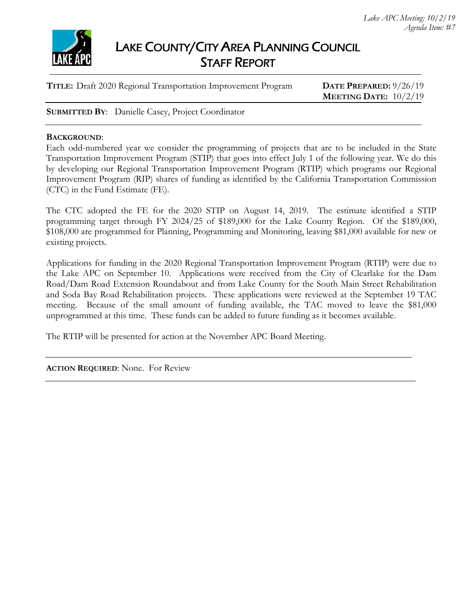

# LAKE COUNTY/CITY AREA PLANNING COUNCIL STAFF REPORT

| TITLE: Draft 2020 Regional Transportation Improvement Program | DATE PREPARED: $9/26/19$       |
|---------------------------------------------------------------|--------------------------------|
|                                                               | <b>MEETING DATE:</b> $10/2/19$ |
|                                                               |                                |

**SUBMITTED BY**: Danielle Casey, Project Coordinator

## **BACKGROUND**:

Each odd-numbered year we consider the programming of projects that are to be included in the State Transportation Improvement Program (STIP) that goes into effect July 1 of the following year. We do this by developing our Regional Transportation Improvement Program (RTIP) which programs our Regional Improvement Program (RIP) shares of funding as identified by the California Transportation Commission (CTC) in the Fund Estimate (FE).

The CTC adopted the FE for the 2020 STIP on August 14, 2019. The estimate identified a STIP programming target through FY 2024/25 of \$189,000 for the Lake County Region. Of the \$189,000, \$108,000 are programmed for Planning, Programming and Monitoring, leaving \$81,000 available for new or existing projects.

Applications for funding in the 2020 Regional Transportation Improvement Program (RTIP) were due to the Lake APC on September 10. Applications were received from the City of Clearlake for the Dam Road/Dam Road Extension Roundabout and from Lake County for the South Main Street Rehabilitation and Soda Bay Road Rehabilitation projects. These applications were reviewed at the September 19 TAC meeting. Because of the small amount of funding available, the TAC moved to leave the \$81,000 unprogrammed at this time. These funds can be added to future funding as it becomes available.

The RTIP will be presented for action at the November APC Board Meeting.

**ACTION REQUIRED:** None. For Review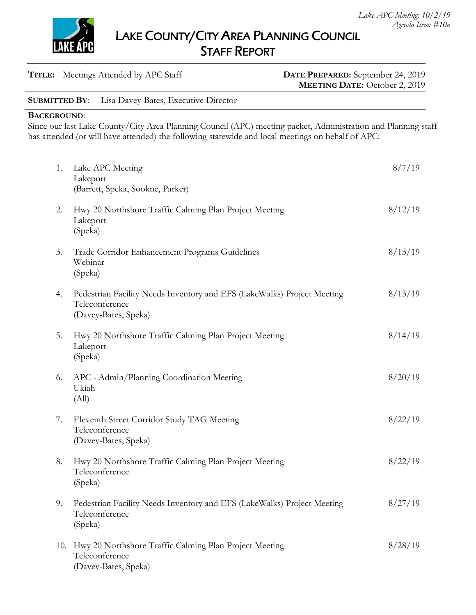LAKE COUNTY/CITY AREA PLANNING COUNCIL STAFF REPORT

| <b>TITLE:</b> Meetings Attended by APC Staff |  |
|----------------------------------------------|--|
|----------------------------------------------|--|

## DATE PREPARED: September 24, 2019 **MEETING DATE:** October 2, 2019

**SUBMITTED BY**: Lisa Davey-Bates, Executive Director

**BACKGROUND**:

Since our last Lake County/City Area Planning Council (APC) meeting packet, Administration and Planning staff has attended (or will have attended) the following statewide and local meetings on behalf of APC:

| 1.  | Lake APC Meeting<br>Lakeport<br>(Barrett, Speka, Sookne, Parker)                                                  | 8/7/19  |
|-----|-------------------------------------------------------------------------------------------------------------------|---------|
| 2.  | Hwy 20 Northshore Traffic Calming Plan Project Meeting<br>Lakeport<br>(Speka)                                     | 8/12/19 |
| 3.  | Trade Corridor Enhancement Programs Guidelines<br>Webinar<br>(Speka)                                              | 8/13/19 |
| 4.  | Pedestrian Facility Needs Inventory and EFS (LakeWalks) Project Meeting<br>Teleconference<br>(Davey-Bates, Speka) | 8/13/19 |
| 5.  | Hwy 20 Northshore Traffic Calming Plan Project Meeting<br>Lakeport<br>(Speka)                                     | 8/14/19 |
| 6.  | APC - Admin/Planning Coordination Meeting<br>Ukiah<br>(All)                                                       | 8/20/19 |
| 7.  | Eleventh Street Corridor Study TAG Meeting<br>Teleconference<br>(Davey-Bates, Speka)                              | 8/22/19 |
| 8.  | Hwy 20 Northshore Traffic Calming Plan Project Meeting<br>Teleconference<br>(Speka)                               | 8/22/19 |
| 9.  | Pedestrian Facility Needs Inventory and EFS (LakeWalks) Project Meeting<br>Teleconference<br>(Speka)              | 8/27/19 |
| 10. | Hwy 20 Northshore Traffic Calming Plan Project Meeting<br>Teleconference<br>(Davey-Bates, Speka)                  | 8/28/19 |